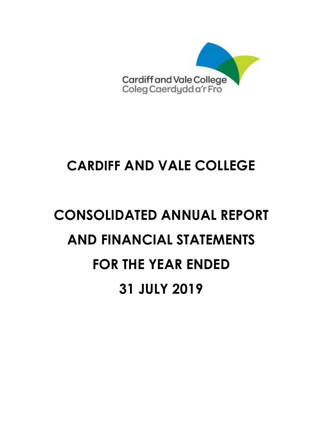

# **CONSOLIDATED ANNUAL REPORT AND FINANCIAL STATEMENTS FOR THE YEAR ENDED 31 JULY 2019**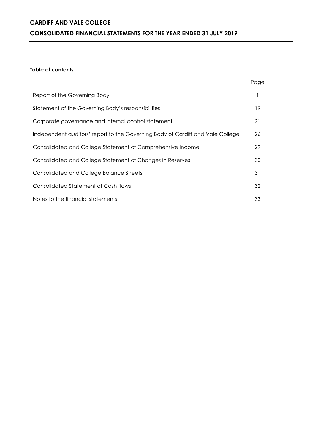# **CARDIFF AND VALE COLLEGE CONSOLIDATED FINANCIAL STATEMENTS FOR THE YEAR ENDED 31 JULY 2019**

#### **Table of contents**

|                                                                                | Page |
|--------------------------------------------------------------------------------|------|
| Report of the Governing Body                                                   |      |
| Statement of the Governing Body's responsibilities                             | 19   |
| Corporate governance and internal control statement                            | 21   |
| Independent auditors' report to the Governing Body of Cardiff and Vale College | 26   |
| Consolidated and College Statement of Comprehensive Income                     | 29   |
| Consolidated and College Statement of Changes in Reserves                      | 30   |
| Consolidated and College Balance Sheets                                        | 31   |
| <b>Consolidated Statement of Cash flows</b>                                    | 32   |
| Notes to the financial statements                                              | 33   |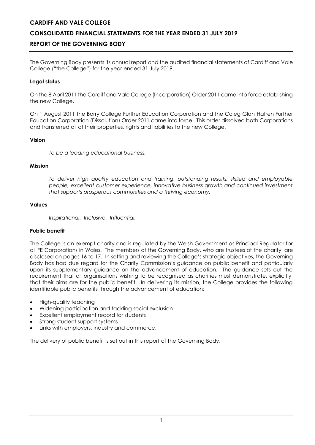# **CONSOLIDATED FINANCIAL STATEMENTS FOR THE YEAR ENDED 31 JULY 2019**

# **REPORT OF THE GOVERNING BODY**

The Governing Body presents its annual report and the audited financial statements of Cardiff and Vale College ("the College") for the year ended 31 July 2019.

#### **Legal status**

On the 8 April 2011 the Cardiff and Vale College (Incorporation) Order 2011 came into force establishing the new College.

On 1 August 2011 the Barry College Further Education Corporation and the Coleg Glan Hafren Further Education Corporation (Dissolution) Order 2011 came into force. This order dissolved both Corporations and transferred all of their properties, rights and liabilities to the new College.

#### **Vision**

*To be a leading educational business.* 

#### **Mission**

*To deliver high quality education and training, outstanding results, skilled and employable people, excellent customer experience, innovative business growth and continued investment that supports prosperous communities and a thriving economy.* 

#### **Values**

*Inspirational. Inclusive. Influential.* 

# **Public benefit**

The College is an exempt charity and is regulated by the Welsh Government as Principal Regulator for all FE Corporations in Wales. The members of the Governing Body, who are trustees of the charity, are disclosed on pages 16 to 17. In setting and reviewing the College's strategic objectives, the Governing Body has had due regard for the Charity Commission's guidance on public benefit and particularly upon its supplementary guidance on the advancement of education. The guidance sets out the requirement that all organisations wishing to be recognised as charities must demonstrate, explicitly, that their aims are for the public benefit. In delivering its mission, the College provides the following identifiable public benefits through the advancement of education:

- High-quality teaching
- Widening participation and tackling social exclusion
- Excellent employment record for students
- Strong student support systems
- Links with employers, industry and commerce.

The delivery of public benefit is set out in this report of the Governing Body.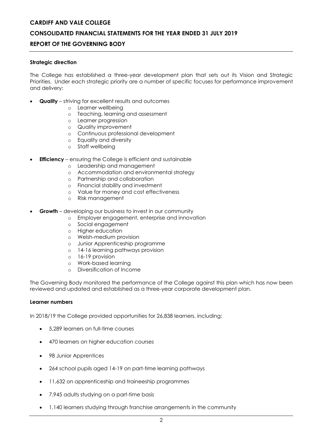# **CONSOLIDATED FINANCIAL STATEMENTS FOR THE YEAR ENDED 31 JULY 2019**

# **REPORT OF THE GOVERNING BODY**

#### **Strategic direction**

The College has established a three-year development plan that sets out its Vision and Strategic Priorities. Under each strategic priority are a number of specific focuses for performance improvement and delivery:

- **Quality**  striving for excellent results and outcomes
	- o Learner wellbeing
	- o Teaching, learning and assessment
	- o Learner progression
	- o Quality improvement
	- o Continuous professional development
	- o Equality and diversity
	- o Staff wellbeing
- **Efficiency** ensuring the College is efficient and sustainable
	- o Leadership and management
	- o Accommodation and environmental strategy
	- o Partnership and collaboration
	- o Financial stability and investment
	- o Value for money and cost effectiveness
	- o Risk management
- **Growth** developing our business to invest in our community
	- o Employer engagement, enterprise and innovation
	- o Social engagement
	- o Higher education
	- o Welsh-medium provision
	- o Junior Apprenticeship programme
	- o 14-16 learning pathways provision
	- o 16-19 provision
	- o Work-based learning
	- o Diversification of Income

The Governing Body monitored the performance of the College against this plan which has now been reviewed and updated and established as a three-year corporate development plan.

#### **Learner numbers**

In 2018/19 the College provided opportunities for 26,838 learners, including:

- 5,289 learners on full-time courses
- 470 learners on higher education courses
- 98 Junior Apprentices
- 264 school pupils aged 14-19 on part-time learning pathways
- $\bullet$  11,632 on apprenticeship and traineeship programmes
- 7,945 adults studying on a part-time basis
- 1,140 learners studying through franchise arrangements in the community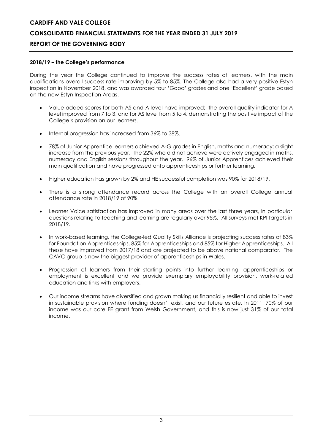# **CARDIFF AND VALE COLLEGE CONSOLIDATED FINANCIAL STATEMENTS FOR THE YEAR ENDED 31 JULY 2019**

# **REPORT OF THE GOVERNING BODY**

# **2018/19 – the College's performance**

During the year the College continued to improve the success rates of learners, with the main qualifications overall success rate improving by 5% to 85%. The College also had a very positive Estyn inspection in November 2018, and was awarded four 'Good' grades and one 'Excellent' grade based on the new Estyn Inspection Areas.

- Value added scores for both AS and A level have improved; the overall quality indicator for A level improved from 7 to 3, and for AS level from 5 to 4, demonstrating the positive impact of the College's provision on our learners.
- $\bullet$  Internal progression has increased from 36% to 38%.
- 78% of Junior Apprentice learners achieved A-G grades in English, maths and numeracy; a slight increase from the previous year. The 22% who did not achieve were actively engaged in maths, numeracy and English sessions throughout the year. 96% of Junior Apprentices achieved their main qualification and have progressed onto apprenticeships or further learning.
- Higher education has grown by 2% and HE successful completion was 90% for 2018/19.
- There is a strong attendance record across the College with an overall College annual attendance rate in 2018/19 of 90%.
- Learner Voice satisfaction has improved in many areas over the last three years, in particular questions relating to teaching and learning are regularly over 95%. All surveys met KPI targets in 2018/19.
- In work-based learning, the College-led Quality Skills Alliance is projecting success rates of 83% for Foundation Apprenticeships, 85% for Apprenticeships and 85% for Higher Apprenticeships. All these have improved from 2017/18 and are projected to be above national comparator. The CAVC group is now the biggest provider of apprenticeships in Wales.
- Progression of learners from their starting points into further learning, apprenticeships or employment is excellent and we provide exemplary employability provision, work-related education and links with employers.
- Our income streams have diversified and grown making us financially resilient and able to invest in sustainable provision where funding doesn't exist, and our future estate. In 2011, 70% of our income was our core FE grant from Welsh Government, and this is now just 31% of our total income.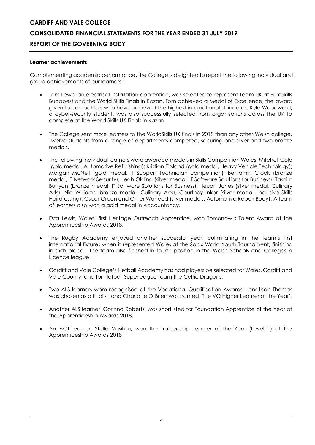#### **Learner achievements**

Complementing academic performance, the College is delighted to report the following individual and group achievements of our learners:

- Tom Lewis, an electrical installation apprentice, was selected to represent Team UK at EuroSkills Budapest and the World Skills Finals in Kazan. Tom achieved a Medal of Excellence, the award given to competitors who have achieved the highest international standards. Kyle Woodward, a cyber-security student, was also successfully selected from organisations across the UK to compete at the World Skills UK Finals in Kazan.
- The College sent more learners to the WorldSkills UK finals in 2018 than any other Welsh college. Twelve students from a range of departments competed, securing one silver and two bronze medals.
- The following individual learners were awarded medals in Skills Competition Wales: Mitchell Cole (gold medal, Automotive Refinishing); Kristian Eirsland (gold medal, Heavy Vehicle Technology); Morgan McNeil (gold medal, IT Support Technician competition); Benjamin Crook (bronze medal, IT Network Security); Leah Olding (silver medal, IT Software Solutions for Business); Tasnim Bunyan (bronze medal, IT Software Solutions for Business); Ieuan Jones (silver medal, Culinary Arts), Nia Williams (bronze medal, Culinary Arts); Courtney Inker (silver medal, Inclusive Skills Hairdressing); Oscar Green and Omer Waheed (silver medals, Automotive Repair Body). A team of learners also won a gold medal in Accountancy.
- Esta Lewis, Wales' first Heritage Outreach Apprentice, won Tomorrow's Talent Award at the Apprenticeship Awards 2018.
- The Rugby Academy enjoyed another successful year, culminating in the team's first international fixtures when it represented Wales at the Sanix World Youth Tournament, finishing in sixth place. The team also finished in fourth position in the Welsh Schools and Colleges A Licence league.
- Cardiff and Vale College's Netball Academy has had players be selected for Wales, Cardiff and Vale County, and for Netball Superleague team the Celtic Dragons.
- Two ALS learners were recognised at the Vocational Qualification Awards; Jonathan Thomas was chosen as a finalist, and Charlotte O'Brien was named 'The VQ Higher Learner of the Year'.
- Another ALS learner, Corinna Roberts, was shortlisted for Foundation Apprentice of the Year at the Apprenticeship Awards 2018.
- An ACT learner, Stella Vasiliou, won the Traineeship Learner of the Year (Level 1) at the Apprenticeship Awards 2018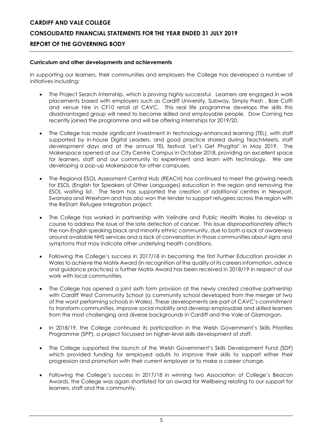#### **Curriculum and other developments and achievements**

In supporting our learners, their communities and employers the College has developed a number of initiatives including:

- The Project Search Internship, which is proving highly successful. Learners are engaged in work placements based with employers such as Cardiff University, Subway, Simply Fresh , Bae Coffi and venue hire in CF10 retail at CAVC. This real life programme develops the skills this disadvantaged group will need to become skilled and employable people. Dow Corning has recently joined the programme and will be offering internships for 2019/20.
- The College has made significant investment in technology-enhanced learning (TEL), with staff supported by in-house Digital Leaders, and good practice shared during TeachMeets, staff development days and at the annual TEL festival 'Let's Get Phygital' in May 2019. The Makerspace opened at our City Centre Campus in October 2018, providing an excellent space for learners, staff and our community to experiment and learn with technology. We are developing a pop-up Makerspace for other campuses.
- The Regional ESOL Assessment Central Hub (REACH) has continued to meet the growing needs for ESOL (English for Speakers of Other Languages) education in the region and removing the ESOL waiting list. The team has supported the creation of additional centres in Newport, Swansea and Wrexham and has also won the tender to support refugees across the region with the ReStart: Refugee Integration project.
- The College has worked in partnership with Velindre and Public Health Wales to develop a course to address the issue of the late detection of cancer. This issue disproportionately affects the non-English speaking black and minority ethnic community, due to both a lack of awareness around available NHS services and a lack of conversation in those communities about signs and symptoms that may indicate other underlying health conditions.
- Following the College's success in 2017/18 in becoming the first Further Education provider in Wales to achieve the Matrix Award (in recognition of the quality of its careers information, advice and guidance practices) a further Matrix Award has been received in 2018/19 in respect of our work with local communities.
- The College has opened a joint sixth form provision at the newly created creative partnership with Cardiff West Community School (a community school developed from the merger of two of the worst performing schools in Wales). These developments are part of CAVC's commitment to transform communities, improve social mobility and develop employable and skilled learners from the most challenging and diverse backgrounds in Cardiff and the Vale of Glamorgan.
- In 2018/19, the College continued its participation in the Welsh Government's Skills Priorities Programme (SPP), a project focussed on higher-level skills development of staff.
- The College supported the launch of the Welsh Government's Skills Development Fund (SDF) which provided funding for employed adults to improve their skills to support either their progression and promotion with their current employer or to make a career change.
- Following the College's success in 2017/18 in winning two Association of College's Beacon Awards, the College was again shortlisted for an award for Wellbeing relating to our support for learners, staff and the community.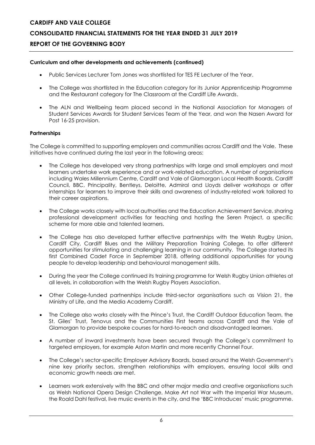# **CONSOLIDATED FINANCIAL STATEMENTS FOR THE YEAR ENDED 31 JULY 2019**

# **REPORT OF THE GOVERNING BODY**

### **Curriculum and other developments and achievements (continued)**

- Public Services Lecturer Tom Jones was shortlisted for TES FE Lecturer of the Year.
- The College was shortlisted in the Education category for its Junior Apprenticeship Programme and the Restaurant category for The Classroom at the Cardiff Life Awards.
- The ALN and Wellbeing team placed second in the National Association for Managers of Student Services Awards for Student Services Team of the Year, and won the Nasen Award for Post 16-25 provision.

#### **Partnerships**

The College is committed to supporting employers and communities across Cardiff and the Vale. These initiatives have continued during the last year in the following areas:

- The College has developed very strong partnerships with large and small employers and most learners undertake work experience and or work-related education. A number of organisations including Wales Millennium Centre, Cardiff and Vale of Glamorgan Local Health Boards, Cardiff Council, BBC, Principality, Bentleys, Deloitte, Admiral and Lloyds deliver workshops or offer internships for learners to improve their skills and awareness of industry-related work tailored to their career aspirations.
- The College works closely with local authorities and the Education Achievement Service, sharing professional development activities for teaching and hosting the Seren Project, a specific scheme for more able and talented learners.
- The College has also developed further effective partnerships with the Welsh Rugby Union, Cardiff City, Cardiff Blues and the Military Preparation Training College, to offer different opportunities for stimulating and challenging learning in our community. The College started its first Combined Cadet Force in September 2018, offering additional opportunities for young people to develop leadership and behavioural management skills.
- During the year the College continued its training programme for Welsh Rugby Union athletes at all levels, in collaboration with the Welsh Rugby Players Association.
- Other College-funded partnerships include third-sector organisations such as Vision 21, the Ministry of Life, and the Media Academy Cardiff.
- The College also works closely with the Prince's Trust, the Cardiff Outdoor Education Team, the St. Giles' Trust, Tenovus and the Communities First teams across Cardiff and the Vale of Glamorgan to provide bespoke courses for hard-to-reach and disadvantaged learners.
- A number of inward investments have been secured through the College's commitment to targeted employers, for example Aston Martin and more recently Channel Four.
- The College's sector-specific Employer Advisory Boards, based around the Welsh Government's nine key priority sectors, strengthen relationships with employers, ensuring local skills and economic growth needs are met.
- Learners work extensively with the BBC and other major media and creative organisations such as Welsh National Opera Design Challenge, Make Art not War with the Imperial War Museum, the Roald Dahl festival, live music events in the city, and the 'BBC Introduces' music programme.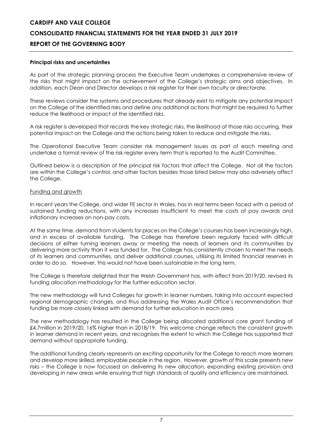#### **Principal risks and uncertainties**

As part of the strategic planning process the Executive Team undertakes a comprehensive review of the risks that might impact on the achievement of the College's strategic aims and objectives. In addition, each Dean and Director develops a risk register for their own faculty or directorate.

These reviews consider the systems and procedures that already exist to mitigate any potential impact on the College of the identified risks and define any additional actions that might be required to further reduce the likelihood or impact of the identified risks.

A risk register is developed that records the key strategic risks, the likelihood of those risks occurring, their potential impact on the College and the actions being taken to reduce and mitigate the risks.

The Operational Executive Team consider risk management issues as part of each meeting and undertake a formal review of the risk register every term that is reported to the Audit Committee.

Outlined below is a description of the principal risk factors that affect the College. Not all the factors are within the College's control, and other factors besides those listed below may also adversely affect the College.

#### Funding and growth

In recent years the College, and wider FE sector in Wales, has in real terms been faced with a period of sustained funding reductions, with any increases insufficient to meet the costs of pay awards and inflationary increases on non-pay costs.

At the same time, demand from students for places on the College's courses has been increasingly high, and in excess of available funding. The College has therefore been regularly faced with difficult decisions of either turning learners away or meeting the needs of learners and its communities by delivering more activity than it was funded for. The College has consistently chosen to meet the needs of its learners and communities, and deliver additional courses, utilising its limited financial reserves in order to do so. However, this would not have been sustainable in the long term.

The College is therefore delighted that the Welsh Government has, with effect from 2019/20, revised its funding allocation methodology for the further education sector.

The new methodology will fund Colleges for growth in learner numbers, taking into account expected regional demographic changes, and thus addressing the Wales Audit Office's recommendation that funding be more closely linked with demand for further education in each area.

The new methodology has resulted in the College being allocated additional core grant funding of £4.7million in 2019/20, 16% higher than in 2018/19. This welcome change reflects the consistent growth in learner demand in recent years, and recognises the extent to which the College has supported that demand without appropriate funding.

The additional funding clearly represents an exciting opportunity for the College to reach more learners and develop more skilled, employable people in the region. However, growth of this scale presents new risks – the College is now focussed on delivering its new allocation, expanding existing provision and developing in new areas while ensuring that high standards of quality and efficiency are maintained.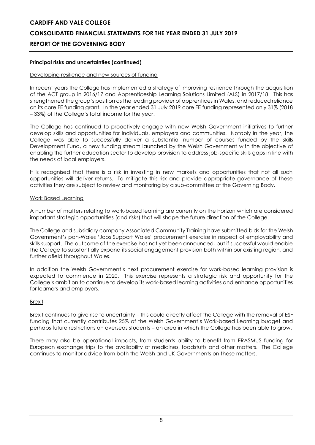# **CARDIFF AND VALE COLLEGE CONSOLIDATED FINANCIAL STATEMENTS FOR THE YEAR ENDED 31 JULY 2019**

# **REPORT OF THE GOVERNING BODY**

# **Principal risks and uncertainties (continued)**

### Developing resilience and new sources of funding

In recent years the College has implemented a strategy of improving resilience through the acquisition of the ACT group in 2016/17 and Apprenticeship Learning Solutions Limited (ALS) in 2017/18. This has strengthened the group's position as the leading provider of apprentices in Wales, and reduced reliance on its core FE funding grant. In the year ended 31 July 2019 core FE funding represented only 31% (2018 – 33%) of the College's total income for the year.

The College has continued to proactively engage with new Welsh Government initiatives to further develop skills and opportunities for individuals, employers and communities. Notably in the year, the College was able to successfully deliver a substantial number of courses funded by the Skills Development Fund, a new funding stream launched by the Welsh Government with the objective of enabling the further education sector to develop provision to address job-specific skills gaps in line with the needs of local employers.

It is recognised that there is a risk in investing in new markets and opportunities that not all such opportunities will deliver returns. To mitigate this risk and provide appropriate governance of these activities they are subject to review and monitoring by a sub-committee of the Governing Body.

#### Work Based Learning

A number of matters relating to work-based learning are currently on the horizon which are considered important strategic opportunities (and risks) that will shape the future direction of the College.

The College and subsidiary company Associated Community Training have submitted bids for the Welsh Government's pan-Wales 'Jobs Support Wales' procurement exercise in respect of employability and skills support. The outcome of the exercise has not yet been announced, but if successful would enable the College to substantially expand its social engagement provision both within our existing region, and further afield throughout Wales.

In addition the Welsh Government's next procurement exercise for work-based learning provision is expected to commence in 2020. This exercise represents a strategic risk and opportunity for the College's ambition to continue to develop its work-based learning activities and enhance opportunities for learners and employers.

# Brexit

Brexit continues to give rise to uncertainty – this could directly affect the College with the removal of ESF funding that currently contributes 25% of the Welsh Government's Work-based Learning budget and perhaps future restrictions on overseas students – an area in which the College has been able to grow.

There may also be operational impacts, from students ability to benefit from ERASMUS funding for European exchange trips to the availability of medicines, foodstuffs and other matters. The College continues to monitor advice from both the Welsh and UK Governments on these matters.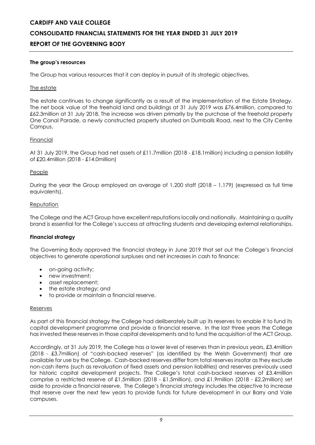#### **The group's resources**

The Group has various resources that it can deploy in pursuit of its strategic objectives.

#### The estate

The estate continues to change significantly as a result of the implementation of the Estate Strategy. The net book value of the freehold land and buildings at 31 July 2019 was £76.4million, compared to £62.3million at 31 July 2018. The increase was driven primarily by the purchase of the freehold property One Canal Parade, a newly constructed property situated on Dumballs Road, next to the City Centre Campus.

#### Financial

At 31 July 2019, the Group had net assets of £11.7million (2018 - £18.1million) including a pension liability of £20.4million (2018 - £14.0million)

#### People

During the year the Group employed an average of 1,200 staff (2018 – 1,179) (expressed as full time equivalents).

#### Reputation

The College and the ACT Group have excellent reputations locally and nationally. Maintaining a quality brand is essential for the College's success at attracting students and developing external relationships.

# **Financial strategy**

The Governing Body approved the financial strategy in June 2019 that set out the College's financial objectives to generate operational surpluses and net increases in cash to finance:

- on-going activity;
- new investment:
- asset replacement:
- the estate strategy; and
- to provide or maintain a financial reserve.

#### Reserves

As part of this financial strategy the College had deliberately built up its reserves to enable it to fund its capital development programme and provide a financial reserve. In the last three years the College has invested these reserves in those capital developments and to fund the acquisition of the ACT Group.

Accordingly, at 31 July 2019, the College has a lower level of reserves than in previous years, £3.4million (2018 - £3.7million) of "cash-backed reserves" (as identified by the Welsh Government) that are available for use by the College. Cash-backed reserves differ from total reserves insofar as they exclude non-cash items (such as revaluation of fixed assets and pension liabilities) and reserves previously used for historic capital development projects. The College's total cash-backed reserves of £3.4million comprise a restricted reserve of £1.5million (2018 - £1.5million), and £1.9million (2018 - £2.2million) set aside to provide a financial reserve. The College's financial strategy includes the objective to increase that reserve over the next few years to provide funds for future development in our Barry and Vale campuses.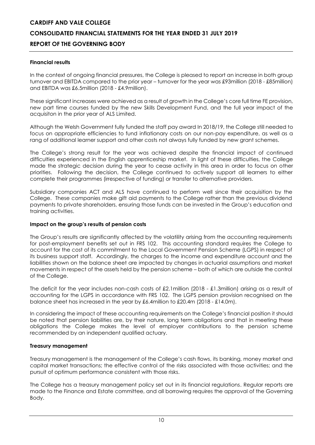### **Financial results**

In the context of ongoing financial pressures, the College is pleased to report an increase in both group turnover and EBITDA compared to the prior year – turnover for the year was £93million (2018 - £85million) and EBITDA was £6.5million (2018 - £4.9million).

These significant increases were achieved as a result of growth in the College's core full time FE provision, new part time courses funded by the new Skills Development Fund, and the full year impact of the acquisiton in the prior year of ALS Limited.

Although the Welsh Government fully funded the staff pay award In 2018/19, the College still needed to focus on appropriate efficiencies to fund inflationary costs on our non-pay expenditure, as well as a rang of additional learner support and other costs not always fully funded by new grant schemes.

The College's strong result for the year was achieved despite the financial impact of continued difficulties experienced in the English apprenticeship market. In light of these difficulties, the College made the strategic decision during the year to cease activity in this area in order to focus on other priorities. Following the decision, the College continued to actively support all learners to either complete their programmes (irrespective of funding) or transfer to alternative providers.

Subsidiary companies ACT and ALS have continued to perform well since their acquisition by the College. These companies make gift aid payments to the College rather than the previous dividend payments to private shareholders, ensuring those funds can be invested in the Group's education and training activities.

#### **Impact on the group's results of pension costs**

The Group's results are significantly affected by the volatility arising from the accounting requirements for post-employment benefits set out in FRS 102. This accounting standard requires the College to account for the cost of its commitment to the Local Government Pension Scheme (LGPS) in respect of its business support staff. Accordingly, the charges to the income and expenditure account and the liabilities shown on the balance sheet are impacted by changes in actuarial assumptions and market movements in respect of the assets held by the pension scheme – both of which are outside the control of the College.

The deficit for the year includes non-cash costs of £2.1million (2018 - £1.3million) arising as a result of accounting for the LGPS in accordance with FRS 102. The LGPS pension provision recognised on the balance sheet has increased in the year by £6.4million to £20.4m (2018 - £14.0m).

In considering the impact of these accounting requirements on the College's financial position it should be noted that pension liabilities are, by their nature, long term obligations and that in meeting these obligations the College makes the level of employer contributions to the pension scheme recommended by an independent qualified actuary.

#### **Treasury management**

Treasury management is the management of the College's cash flows, its banking, money market and capital market transactions; the effective control of the risks associated with those activities; and the pursuit of optimum performance consistent with those risks.

The College has a treasury management policy set out in its financial regulations. Regular reports are made to the Finance and Estate committee, and all borrowing requires the approval of the Governing Body.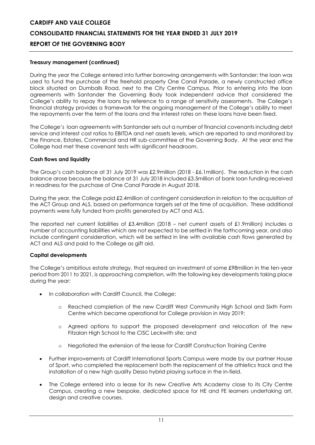### **Treasury management (continued)**

During the year the College entered into further borrowing arrangements with Santander; the loan was used to fund the purchase of the freehold property One Canal Parade, a newly constructed office block situated on Dumballs Road, next to the City Centre Campus. Prior to entering into the loan agreements with Santander the Governing Body took independent advice that considered the College's ability to repay the loans by reference to a range of sensitivity assessments. The College's financial strategy provides a framework for the ongoing management of the College's ability to meet the repayments over the term of the loans and the interest rates on these loans have been fixed.

The College's loan agreements with Santander sets out a number of financial covenants including debt service and interest cost ratios to EBITDA and net assets levels, which are reported to and monitored by the Finance, Estates, Commercial and HR sub-committee of the Governing Body. At the year end the College had met these covenant tests with significant headroom.

#### **Cash flows and liquidity**

The Group's cash balance at 31 July 2019 was £2.9million (2018 - £6.1 million). The reduction in the cash balance arose because the balance at 31 July 2018 included £3.5million of bank loan funding received in readiness for the purchase of One Canal Parade in August 2018.

During the year, the College paid £2.4million of contingent consideration in relation to the acquisition of the ACT Group and ALS, based on performance targets set at the time of acquisition. These additional payments were fully funded from profits generated by ACT and ALS.

The reported net current liabilities of £3.4million (2018 – net current assets of £1.9million) includes a number of accounting liabilities which are not expected to be settled in the forthcoming year, and also include contingent consideration, which will be settled in line with available cash flows generated by ACT and ALS and paid to the College as gift aid.

#### **Capital developments**

The College's ambitious estate strategy, that required an investment of some £98million in the ten-year period from 2011 to 2021, is approaching completion, with the following key developments taking place during the year:

- In collaboration with Cardiff Council, the College:
	- o Reached completion of the new Cardiff West Community High School and Sixth Form Centre which became operational for College provision in May 2019;
	- o Agreed options to support the proposed development and relocation of the new Fitzalan High School to the CISC Leckwith site; and
	- o Negotiated the extension of the lease for Cardiff Construction Training Centre
- Further improvements at Cardiff International Sports Campus were made by our partner House of Sport, who completed the replacement both the replacement of the athletics track and the installation of a new high quality Desso hybrid playing surface in the in-field.
- The College entered into a lease for its new Creative Arts Academy close to its City Centre Campus, creating a new bespoke, dedicated space for HE and FE learners undertaking art, design and creative courses.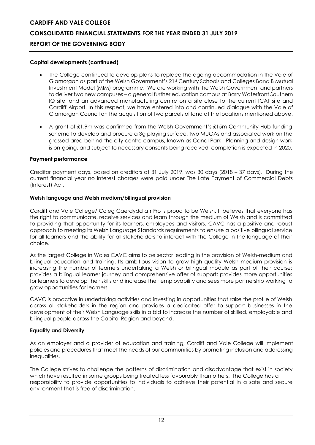#### **Capital developments (continued)**

- The College continued to develop plans to replace the ageing accommodation in the Vale of Glamorgan as part of the Welsh Government's 21st Century Schools and Colleges Band B Mutual Investment Model (MIM) programme. We are working with the Welsh Government and partners to deliver two new campuses – a general further education campus at Barry Waterfront Southern IQ site, and an advanced manufacturing centre on a site close to the current ICAT site and Cardiff Airport. In this respect, we have entered into and continued dialogue with the Vale of Glamorgan Council on the acquisition of two parcels of land at the locations mentioned above.
- A grant of £1.9m was confirmed from the Welsh Government's £15m Community Hub funding scheme to develop and procure a 3g playing surface, two MUGAs and associated work on the grassed area behind the city centre campus, known as Canal Park. Planning and design work is on-going, and subject to necessary consents being received, completion is expected in 2020.

#### **Payment performance**

Creditor payment days, based on creditors at 31 July 2019, was 30 days (2018 – 37 days). During the current financial year no interest charges were paid under The Late Payment of Commercial Debts (Interest) Act.

#### **Welsh language and Welsh medium/bilingual provision**

Cardiff and Vale College/ Coleg Caerdydd a'r Fro is proud to be Welsh. It believes that everyone has the right to communicate, receive services and learn through the medium of Welsh and is committed to providing that opportunity for its learners, employees and visitors. CAVC has a positive and robust approach to meeting its Welsh Language Standards requirements to ensure a positive bilingual service for all learners and the ability for all stakeholders to interact with the College in the language of their choice.

As the largest College in Wales CAVC aims to be sector leading in the provision of Welsh-medium and bilingual education and training. Its ambitious vision to grow high quality Welsh medium provision is increasing the number of learners undertaking a Welsh or bilingual module as part of their course; provides a bilingual learner journey and comprehensive offer of support; provides more opportunities for learners to develop their skills and increase their employability and sees more partnership working to grow opportunities for learners.

CAVC is proactive in undertaking activities and investing in opportunities that raise the profile of Welsh across all stakeholders in the region and provides a dedicated offer to support businesses in the development of their Welsh Language skills in a bid to increase the number of skilled, employable and bilingual people across the Capital Region and beyond.

#### **Equality and Diversity**

As an employer and a provider of education and training, Cardiff and Vale College will implement policies and procedures that meet the needs of our communities by promoting inclusion and addressing inequalities.

The College strives to challenge the patterns of discrimination and disadvantage that exist in society which have resulted in some groups being treated less favourably than others. The College has a responsibility to provide opportunities to individuals to achieve their potential in a safe and secure environment that is free of discrimination.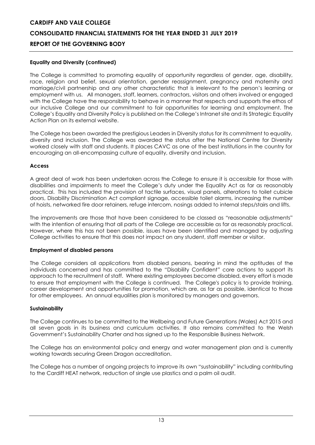# **Equality and Diversity (continued)**

The College is committed to promoting equality of opportunity regardless of gender, age, disability, race, religion and belief, sexual orientation, gender reassignment, pregnancy and maternity and marriage/civil partnership and any other characteristic that is irrelevant to the person's learning or employment with us. All managers, staff, learners, contractors, visitors and others involved or engaged with the College have the responsibility to behave in a manner that respects and supports the ethos of our inclusive College and our commitment to fair opportunities for learning and employment. The College's Equality and Diversity Policy is published on the College's Intranet site and its Strategic Equality Action Plan on its external website.

The College has been awarded the prestigious Leaders in Diversity status for its commitment to equality, diversity and inclusion. The College was awarded the status after the National Centre for Diversity worked closely with staff and students. It places CAVC as one of the best institutions in the country for encouraging an all-encompassing culture of equality, diversity and inclusion.

# **Access**

A great deal of work has been undertaken across the College to ensure it is accessible for those with disabilities and impairments to meet the College's duty under the Equality Act as far as reasonably practical. This has included the provision of tactile surfaces, visual panels, alterations to toilet cubicle doors, Disability Discrimination Act compliant signage, accessible toilet alarms, increasing the number of hoists, networked fire door retainers, refuge intercom, nosings added to internal steps/stairs and lifts.

The improvements are those that have been considered to be classed as "reasonable adjustments" with the intention of ensuring that all parts of the College are accessible as far as reasonably practical. However, where this has not been possible, issues have been identified and managed by adjusting College activities to ensure that this does not impact on any student, staff member or visitor.

# **Employment of disabled persons**

The College considers all applications from disabled persons, bearing in mind the aptitudes of the individuals concerned and has committed to the "Disability Confident" core actions to support its approach to the recruitment of staff. Where existing employees become disabled, every effort is made to ensure that employment with the College is continued. The College's policy is to provide training, career development and opportunities for promotion, which are, as far as possible, identical to those for other employees. An annual equalities plan is monitored by managers and governors.

#### **Sustainability**

The College continues to be committed to the Wellbeing and Future Generations (Wales) Act 2015 and all seven goals in its business and curriculum activities. It also remains committed to the Welsh Government's Sustainability Charter and has signed up to the Responsible Business Network.

The College has an environmental policy and energy and water management plan and is currently working towards securing Green Dragon accreditation.

The College has a number of ongoing projects to improve its own "sustainability" including contributing to the Cardiff HEAT network, reduction of single use plastics and a palm oil audit.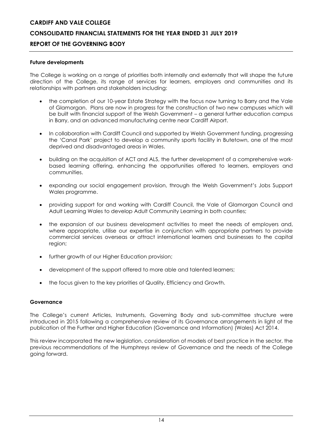#### **Future developments**

The College is working on a range of priorities both internally and externally that will shape the future direction of the College, its range of services for learners, employers and communities and its relationships with partners and stakeholders including:

- the completion of our 10-year Estate Strategy with the focus now turning to Barry and the Vale of Glamorgan. Plans are now in progress for the construction of two new campuses which will be built with financial support of the Welsh Government – a general further education campus in Barry, and an advanced manufacturing centre near Cardiff Airport.
- In collaboration with Cardiff Council and supported by Welsh Government funding, progressing the 'Canal Park' project to develop a community sports facility in Butetown, one of the most deprived and disadvantaged areas in Wales.
- building on the acquisition of ACT and ALS, the further development of a comprehensive workbased learning offering, enhancing the opportunities offered to learners, employers and communities.
- expanding our social engagement provision, through the Welsh Government's Jobs Support Wales programme.
- providing support for and working with Cardiff Council, the Vale of Glamorgan Council and Adult Learning Wales to develop Adult Community Learning in both counties;
- the expansion of our business development activities to meet the needs of employers and, where appropriate, utilise our expertise in conjunction with appropriate partners to provide commercial services overseas or attract international learners and businesses to the capital region;
- further growth of our Higher Education provision;
- development of the support offered to more able and talented learners;
- the focus given to the key priorities of Quality, Efficiency and Growth.

#### **Governance**

The College's current Articles, Instruments, Governing Body and sub-committee structure were introduced in 2015 following a comprehensive review of its Governance arrangements in light of the publication of the Further and Higher Education (Governance and Information) (Wales) Act 2014.

This review incorporated the new legislation, consideration of models of best practice in the sector, the previous recommendations of the Humphreys review of Governance and the needs of the College going forward.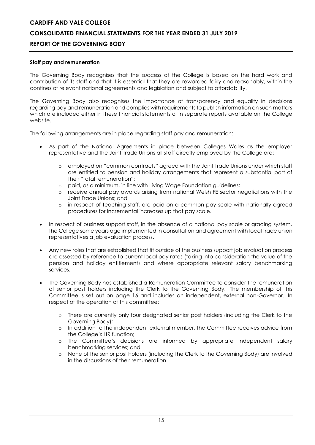#### **Staff pay and remuneration**

The Governing Body recognises that the success of the College is based on the hard work and contribution of its staff and that it is essential that they are rewarded fairly and reasonably, within the confines of relevant national agreements and legislation and subject to affordability.

The Governing Body also recognises the importance of transparency and equality in decisions regarding pay and remuneration and complies with requirements to publish information on such matters which are included either in these financial statements or in separate reports available on the College website.

The following arrangements are in place regarding staff pay and remuneration:

- As part of the National Agreements in place between Colleges Wales as the employer representative and the Joint Trade Unions all staff directly employed by the College are:
	- o employed on "common contracts" agreed with the Joint Trade Unions under which staff are entitled to pension and holiday arrangements that represent a substantial part of their "total remuneration";
	- o paid, as a minimum, in line with Living Wage Foundation guidelines;
	- o receive annual pay awards arising from national Welsh FE sector negotiations with the Joint Trade Unions; and
	- o in respect of teaching staff, are paid on a common pay scale with nationally agreed procedures for incremental increases up that pay scale.
- In respect of business support staff, in the absence of a national pay scale or grading system, the College some years ago implemented in consultation and agreement with local trade union representatives a job evaluation process.
- Any new roles that are established that fit outside of the business support job evaluation process are assessed by reference to current local pay rates (taking into consideration the value of the pension and holiday entitlement) and where appropriate relevant salary benchmarking services.
- The Governing Body has established a Remuneration Committee to consider the remuneration of senior post holders including the Clerk to the Governing Body. The membership of this Committee is set out on page 16 and includes an independent, external non-Governor. In respect of the operation of this committee:
	- o There are currently only four designated senior post holders (including the Clerk to the Governing Body);
	- o In addition to the independent external member, the Committee receives advice from the College's HR function;
	- o The Committee's decisions are informed by appropriate independent salary benchmarking services; and
	- o None of the senior post holders (including the Clerk to the Governing Body) are involved in the discussions of their remuneration.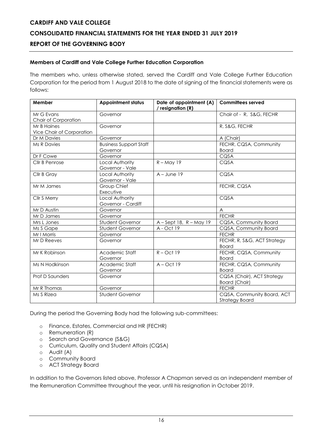# **Members of Cardiff and Vale College Further Education Corporation**

The members who, unless otherwise stated, served the Cardiff and Vale College Further Education Corporation for the period from 1 August 2018 to the date of signing of the financial statements were as follows:

| Member                                   | <b>Appointment status</b>                 | Date of appointment (A)<br>/ resignation (R) | <b>Committees served</b>                            |
|------------------------------------------|-------------------------------------------|----------------------------------------------|-----------------------------------------------------|
| Mr G Evans<br>Chair of Corporation       | Governor                                  |                                              | Chair of - R, S&G, FECHR                            |
| Mr B Haines<br>Vice Chair of Corporation | Governor                                  |                                              | R, S&G, FECHR                                       |
| Dr M Davies                              | Governor                                  |                                              | A (Chair)                                           |
| <b>Ms R Davies</b>                       | <b>Business Support Staff</b><br>Governor |                                              | FECHR, CQSA, Community<br><b>Board</b>              |
| Dr F Cowe                                | Governor                                  |                                              | CQSA                                                |
| Cllr B Penrose                           | Local Authority<br>Governor - Vale        | $R - May$ 19                                 | CQSA                                                |
| Cllr B Gray                              | Local Authority<br>Governor - Vale        | $A - June 19$                                | CQSA                                                |
| Mr M James                               | Group Chief<br>Executive                  |                                              | FECHR, CQSA                                         |
| Cllr S Merry                             | Local Authority<br>Governor - Cardiff     |                                              | CQSA                                                |
| Mr D Austin                              | Governor                                  |                                              | $\overline{A}$                                      |
| Mr D James                               | Governor                                  |                                              | <b>FECHR</b>                                        |
| Mrs L Jones                              | <b>Student Governor</b>                   | $A - Sept 18$ , $R - May 19$                 | CQSA, Community Board                               |
| Ms S Gape                                | <b>Student Governor</b>                   | A - Oct 19                                   | CQSA, Community Board                               |
| Mr I Morris                              | Governor                                  |                                              | <b>FECHR</b>                                        |
| Mr D Reeves                              | Governor                                  |                                              | FECHR, R, S&G, ACT Strategy<br><b>Board</b>         |
| Mr K Robinson                            | Academic Staff<br>Governor                | $R - Oct$ 19                                 | FECHR, CQSA, Community<br><b>Board</b>              |
| Ms N Hodkinson                           | Academic Staff<br>Governor                | $A - Oct$ 19                                 | FECHR, CQSA, Community<br><b>Board</b>              |
| <b>Prof D Saunders</b>                   | Governor                                  |                                              | CQSA (Chair), ACT Strategy<br>Board (Chair)         |
| Mr R Thomas                              | Governor                                  |                                              | <b>FECHR</b>                                        |
| Ms S Rizea                               | <b>Student Governor</b>                   |                                              | CQSA, Community Board, ACT<br><b>Strategy Board</b> |

During the period the Governing Body had the following sub-committees:

- o Finance, Estates, Commercial and HR (FECHR)
- o Remuneration (R)
- o Search and Governance (S&G)
- o Curriculum, Quality and Student Affairs (CQSA)
- o Audit (A)
- o Community Board
- o ACT Strategy Board

In addition to the Governors listed above, Professor A Chapman served as an independent member of the Remuneration Committee throughout the year, until his resignation in October 2019.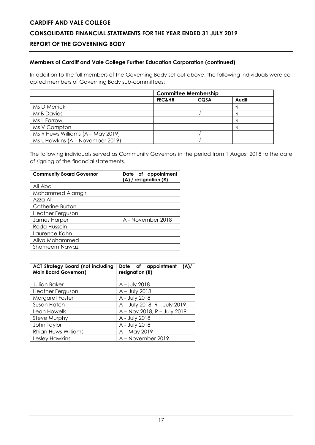# **Members of Cardiff and Vale College Further Education Corporation (continued)**

In addition to the full members of the Governing Body set out above, the following individuals were coopted members of Governing Body sub-committees:

|                                     | <b>Committee Membership</b> |      |       |
|-------------------------------------|-----------------------------|------|-------|
|                                     | <b>FEC&amp;HR</b>           | CQSA | Audit |
| Ms D Merrick                        |                             |      |       |
| Mr B Davies                         |                             |      |       |
| Ms L Farrow                         |                             |      |       |
| Ms V Compton                        |                             |      |       |
| Ms R Huws Williams $(A - May 2019)$ |                             |      |       |
| Ms L Hawkins (A – November 2019)    |                             |      |       |

The following individuals served as Community Governors in the period from 1 August 2018 to the date of signing of the financial statements.

| <b>Community Board Governor</b> | Date of appointment<br>(A) / resignation (R) |
|---------------------------------|----------------------------------------------|
| Ali Abdi                        |                                              |
| Mohammed Alamgir                |                                              |
| Azza Ali                        |                                              |
| Catherine Burton                |                                              |
| <b>Heather Ferguson</b>         |                                              |
| James Harper                    | A - November 2018                            |
| Roda Hussein                    |                                              |
| Laurence Kahn                   |                                              |
| Aliya Mohammed                  |                                              |
| Shameem Nawaz                   |                                              |

| <b>ACT Strategy Board (not including</b><br><b>Main Board Governors)</b> | Date of appointment<br>(A)/<br>resignation (R) |
|--------------------------------------------------------------------------|------------------------------------------------|
| Julian Baker                                                             | A-July 2018                                    |
| <b>Heather Ferguson</b>                                                  | $A - July 2018$                                |
| Margaret Foster                                                          | A - July 2018                                  |
| Susan Hatch                                                              | A - July 2018, R - July 2019                   |
| Leah Howells                                                             | A - Nov 2018, R - July 2019                    |
| Steve Murphy                                                             | A - July 2018                                  |
| John Taylor                                                              | A - July 2018                                  |
| Rhian Huws Williams                                                      | A - May 2019                                   |
| Lesley Hawkins                                                           | A - November 2019                              |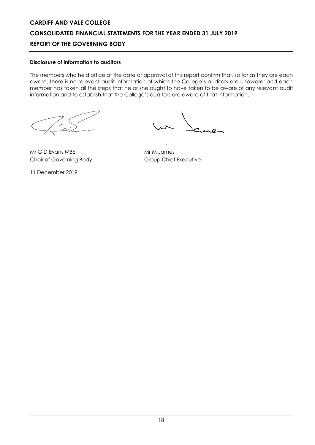# **Disclosure of information to auditors**

The members who held office at the date of approval of this report confirm that, so far as they are each aware, there is no relevant audit information of which the College's auditors are unaware; and each member has taken all the steps that he or she ought to have taken to be aware of any relevant audit information and to establish that the College's auditors are aware of that information.

Mr G D Evans MBE Mr M James Chair of Governing Body Group Chief Executive

11 December 2019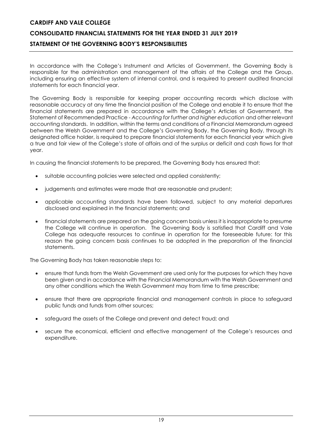# **CONSOLIDATED FINANCIAL STATEMENTS FOR THE YEAR ENDED 31 JULY 2019 STATEMENT OF THE GOVERNING BODY'S RESPONSIBILITIES**

In accordance with the College's Instrument and Articles of Government, the Governing Body is responsible for the administration and management of the affairs of the College and the Group, including ensuring an effective system of internal control, and is required to present audited financial statements for each financial year.

The Governing Body is responsible for keeping proper accounting records which disclose with reasonable accuracy at any time the financial position of the College and enable it to ensure that the financial statements are prepared in accordance with the College's Articles of Government, the Statement of Recommended Practice - *Accounting for further and higher education* and other relevant accounting standards. In addition, within the terms and conditions of a Financial Memorandum agreed between the Welsh Government and the College's Governing Body, the Governing Body, through its designated office holder, is required to prepare financial statements for each financial year which give a true and fair view of the College's state of affairs and of the surplus or deficit and cash flows for that year.

In causing the financial statements to be prepared, the Governing Body has ensured that:

- suitable accounting policies were selected and applied consistently;
- judgements and estimates were made that are reasonable and prudent;
- applicable accounting standards have been followed, subject to any material departures disclosed and explained in the financial statements; and
- financial statements are prepared on the going concern basis unless it is inappropriate to presume the College will continue in operation. The Governing Body is satisfied that Cardiff and Vale College has adequate resources to continue in operation for the foreseeable future: for this reason the going concern basis continues to be adopted in the preparation of the financial statements.

The Governing Body has taken reasonable steps to:

- ensure that funds from the Welsh Government are used only for the purposes for which they have been given and in accordance with the Financial Memorandum with the Welsh Government and any other conditions which the Welsh Government may from time to time prescribe;
- ensure that there are appropriate financial and management controls in place to safeguard public funds and funds from other sources;
- safeguard the assets of the College and prevent and detect fraud; and
- secure the economical, efficient and effective management of the College's resources and expenditure.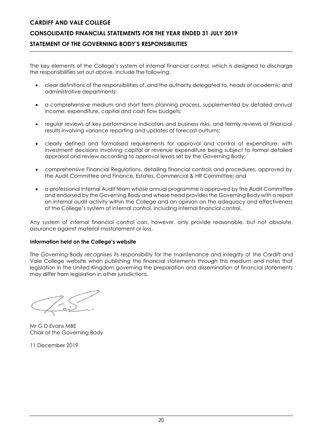# **CONSOLIDATED FINANCIAL STATEMENTS FOR THE YEAR ENDED 31 JULY 2019 STATEMENT OF THE GOVERNING BODY'S RESPONSIBILITIES**

The key elements of the College's system of internal financial control, which is designed to discharge the responsibilities set out above, include the following:

- clear definitions of the responsibilities of, and the authority delegated to, heads of academic and administrative departments;
- a comprehensive medium and short term planning process, supplemented by detailed annual income, expenditure, capital and cash flow budgets;
- regular reviews of key performance indicators and business risks, and termly reviews of financial results involving variance reporting and updates of forecast outturns;
- clearly defined and formalised requirements for approval and control of expenditure, with investment decisions involving capital or revenue expenditure being subject to formal detailed appraisal and review according to approval levels set by the Governing Body;
- comprehensive Financial Regulations, detailing financial controls and procedures, approved by the Audit Committee and Finance, Estates, Commercial & HR Committee; and
- a professional Internal Audit team whose annual programme is approved by the Audit Committee and endorsed by the Governing Body and whose head provides the Governing Body with a report on internal audit activity within the College and an opinion on the adequacy and effectiveness of the College's system of internal control, including internal financial control.

Any system of internal financial control can, however, only provide reasonable, but not absolute, assurance against material misstatement or loss.

#### **Information held on the College's website**

The Governing Body recognises its responsibility for the maintenance and integrity of the Cardiff and Vale College website when publishing the financial statements through this medium and notes that legislation in the United Kingdom governing the preparation and dissemination of financial statements may differ from legislation in other jurisdictions.

Mr G D Evans MBE Chair of the Governing Body

11 December 2019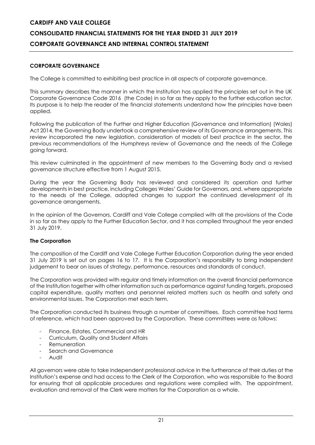# **CORPORATE GOVERNANCE**

The College is committed to exhibiting best practice in all aspects of corporate governance.

This summary describes the manner in which the Institution has applied the principles set out in the UK Corporate Governance Code 2016 (the Code) in so far as they apply to the further education sector. Its purpose is to help the reader of the financial statements understand how the principles have been applied.

Following the publication of the Further and Higher Education (Governance and Information) (Wales) Act 2014, the Governing Body undertook a comprehensive review of its Governance arrangements. This review incorporated the new legislation, consideration of models of best practice in the sector, the previous recommendations of the Humphreys review of Governance and the needs of the College going forward.

This review culminated in the appointment of new members to the Governing Body and a revised governance structure effective from 1 August 2015.

During the year the Governing Body has reviewed and considered its operation and further developments in best practice, including Colleges Wales' Guide for Governors, and, where appropriate to the needs of the College, adopted changes to support the continued development of its governance arrangements.

In the opinion of the Governors, Cardiff and Vale College complied with all the provisions of the Code in so far as they apply to the Further Education Sector, and it has complied throughout the year ended 31 July 2019.

# **The Corporation**

The composition of the Cardiff and Vale College Further Education Corporation during the year ended 31 July 2019 is set out on pages 16 to 17. It is the Corporation's responsibility to bring independent judgement to bear on issues of strategy, performance, resources and standards of conduct.

The Corporation was provided with regular and timely information on the overall financial performance of the Institution together with other information such as performance against funding targets, proposed capital expenditure, quality matters and personnel related matters such as health and safety and environmental issues. The Corporation met each term.

The Corporation conducted its business through a number of committees. Each committee had terms of reference, which had been approved by the Corporation. These committees were as follows:

- Finance, Estates, Commercial and HR
- Curriculum, Quality and Student Affairs
- **Remuneration**
- Search and Governance
- Audit

All governors were able to take independent professional advice in the furtherance of their duties at the Institution's expense and had access to the Clerk of the Corporation, who was responsible to the Board for ensuring that all applicable procedures and regulations were complied with. The appointment, evaluation and removal of the Clerk were matters for the Corporation as a whole.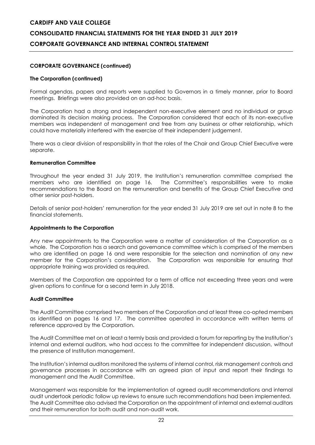# **CORPORATE GOVERNANCE (continued)**

# **The Corporation (continued)**

Formal agendas, papers and reports were supplied to Governors in a timely manner, prior to Board meetings. Briefings were also provided on an ad-hoc basis.

The Corporation had a strong and independent non-executive element and no individual or group dominated its decision making process. The Corporation considered that each of its non-executive members was independent of management and free from any business or other relationship, which could have materially interfered with the exercise of their independent judgement.

There was a clear division of responsibility in that the roles of the Chair and Group Chief Executive were separate.

#### **Remuneration Committee**

Throughout the year ended 31 July 2019, the Institution's remuneration committee comprised the members who are identified on page 16. The Committee's responsibilities were to make recommendations to the Board on the remuneration and benefits of the Group Chief Executive and other senior post-holders.

Details of senior post-holders' remuneration for the year ended 31 July 2019 are set out in note 8 to the financial statements.

#### **Appointments to the Corporation**

Any new appointments to the Corporation were a matter of consideration of the Corporation as a whole. The Corporation has a search and governance committee which is comprised of the members who are identified on page 16 and were responsible for the selection and nomination of any new member for the Corporation's consideration. The Corporation was responsible for ensuring that appropriate training was provided as required.

Members of the Corporation are appointed for a term of office not exceeding three years and were given options to continue for a second term in July 2018.

# **Audit Committee**

The Audit Committee comprised two members of the Corporation and at least three co-opted members as identified on pages 16 and 17. The committee operated in accordance with written terms of reference approved by the Corporation.

The Audit Committee met on at least a termly basis and provided a forum for reporting by the Institution's internal and external auditors, who had access to the committee for independent discussion, without the presence of Institution management.

The Institution's internal auditors monitored the systems of internal control, risk management controls and governance processes in accordance with an agreed plan of input and report their findings to management and the Audit Committee.

Management was responsible for the implementation of agreed audit recommendations and internal audit undertook periodic follow up reviews to ensure such recommendations had been implemented. The Audit Committee also advised the Corporation on the appointment of internal and external auditors and their remuneration for both audit and non-audit work.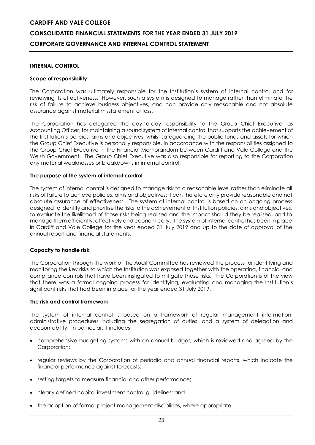#### **INTERNAL CONTROL**

#### **Scope of responsibility**

The Corporation was ultimately responsible for the Institution's system of internal control and for reviewing its effectiveness. However, such a system is designed to manage rather than eliminate the risk of failure to achieve business objectives, and can provide only reasonable and not absolute assurance against material misstatement or loss.

The Corporation has delegated the day-to-day responsibility to the Group Chief Executive, as Accounting Officer, for maintaining a sound system of internal control that supports the achievement of the Institution's policies, aims and objectives, whilst safeguarding the public funds and assets for which the Group Chief Executive is personally responsible, in accordance with the responsibilities assigned to the Group Chief Executive in the Financial Memorandum between Cardiff and Vale College and the Welsh Government. The Group Chief Executive was also responsible for reporting to the Corporation any material weaknesses or breakdowns in internal control.

#### **The purpose of the system of internal control**

The system of internal control is designed to manage risk to a reasonable level rather than eliminate all risks of failure to achieve policies, aims and objectives; it can therefore only provide reasonable and not absolute assurance of effectiveness. The system of internal control is based on an ongoing process designed to identify and prioritise the risks to the achievement of Institution policies, aims and objectives, to evaluate the likelihood of those risks being realised and the impact should they be realised, and to manage them efficiently, effectively and economically. The system of internal control has been in place in Cardiff and Vale College for the year ended 31 July 2019 and up to the date of approval of the annual report and financial statements.

#### **Capacity to handle risk**

The Corporation through the work of the Audit Committee has reviewed the process for identifying and monitoring the key risks to which the Institution was exposed together with the operating, financial and compliance controls that have been instigated to mitigate those risks. The Corporation is of the view that there was a formal ongoing process for identifying, evaluating and managing the Institution's significant risks that had been in place for the year ended 31 July 2019.

#### **The risk and control framework**

The system of internal control is based on a framework of regular management information, administrative procedures including the segregation of duties, and a system of delegation and accountability. In particular, it includes:

- comprehensive budgeting systems with an annual budget, which is reviewed and agreed by the Corporation;
- regular reviews by the Corporation of periodic and annual financial reports, which indicate the financial performance against forecasts;
- setting targets to measure financial and other performance;
- clearly defined capital investment control guidelines; and
- the adoption of formal project management disciplines, where appropriate.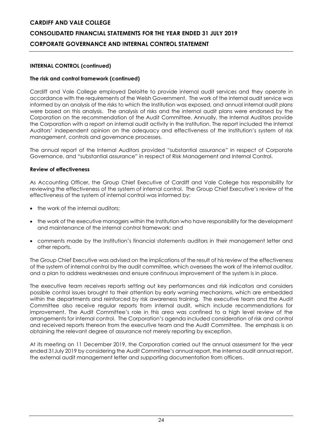# **INTERNAL CONTROL (continued)**

# **The risk and control framework (continued)**

Cardiff and Vale College employed Deloitte to provide internal audit services and they operate in accordance with the requirements of the Welsh Government. The work of the internal audit service was informed by an analysis of the risks to which the Institution was exposed, and annual internal audit plans were based on this analysis. The analysis of risks and the internal audit plans were endorsed by the Corporation on the recommendation of the Audit Committee. Annually, the Internal Auditors provide the Corporation with a report on internal audit activity in the Institution. The report included the Internal Auditors' independent opinion on the adequacy and effectiveness of the Institution's system of risk management, controls and governance processes.

The annual report of the Internal Auditors provided "substantial assurance" in respect of Corporate Governance, and "substantial assurance" in respect of Risk Management and Internal Control.

#### **Review of effectiveness**

As Accounting Officer, the Group Chief Executive of Cardiff and Vale College has responsibility for reviewing the effectiveness of the system of internal control. The Group Chief Executive's review of the effectiveness of the system of internal control was informed by:

- the work of the internal auditors;
- the work of the executive managers within the Institution who have responsibility for the development and maintenance of the internal control framework; and
- comments made by the Institution's financial statements auditors in their management letter and other reports.

The Group Chief Executive was advised on the implications of the result of his review of the effectiveness of the system of internal control by the audit committee, which oversees the work of the internal auditor, and a plan to address weaknesses and ensure continuous improvement of the system is in place.

The executive team receives reports setting out key performances and risk indicators and considers possible control issues brought to their attention by early warning mechanisms, which are embedded within the departments and reinforced by risk awareness training. The executive team and the Audit Committee also receive regular reports from internal audit, which include recommendations for improvement. The Audit Committee's role in this area was confined to a high level review of the arrangements for internal control. The Corporation's agenda included consideration of risk and control and received reports thereon from the executive team and the Audit Committee. The emphasis is on obtaining the relevant degree of assurance not merely reporting by exception.

At its meeting on 11 December 2019, the Corporation carried out the annual assessment for the year ended 31July 2019 by considering the Audit Committee's annual report, the internal audit annual report, the external audit management letter and supporting documentation from officers.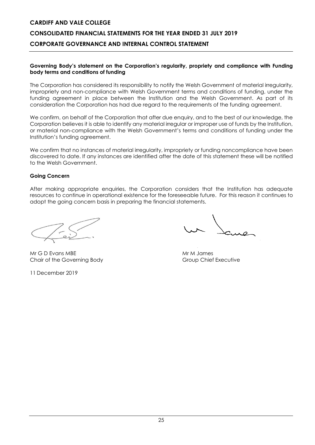# **CONSOLIDATED FINANCIAL STATEMENTS FOR THE YEAR ENDED 31 JULY 2019 CORPORATE GOVERNANCE AND INTERNAL CONTROL STATEMENT**

#### **Governing Body's statement on the Corporation's regularity, propriety and compliance with Funding body terms and conditions of funding**

The Corporation has considered its responsibility to notify the Welsh Government of material irregularity, impropriety and non-compliance with Welsh Government terms and conditions of funding, under the funding agreement in place between the Institution and the Welsh Government. As part of its consideration the Corporation has had due regard to the requirements of the funding agreement.

We confirm, on behalf of the Corporation that after due enquiry, and to the best of our knowledge, the Corporation believes it is able to identify any material irregular or improper use of funds by the Institution, or material non-compliance with the Welsh Government's terms and conditions of funding under the Institution's funding agreement.

We confirm that no instances of material irregularity, impropriety or funding noncompliance have been discovered to date. If any instances are identified after the date of this statement these will be notified to the Welsh Government.

#### **Going Concern**

After making appropriate enquiries, the Corporation considers that the Institution has adequate resources to continue in operational existence for the foreseeable future. For this reason it continues to adopt the going concern basis in preparing the financial statements.

Mr G D Evans MBE Mr M James Mr M James Chair of the Governing Body Group Chief Executive

11 December 2019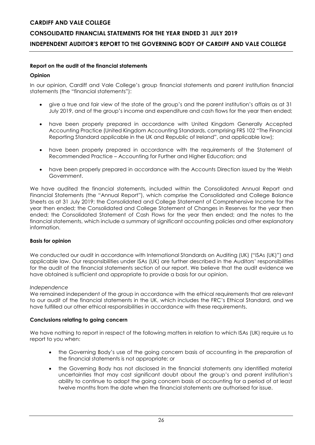# **CONSOLIDATED FINANCIAL STATEMENTS FOR THE YEAR ENDED 31 JULY 2019 INDEPENDENT AUDITOR'S REPORT TO THE GOVERNING BODY OF CARDIFF AND VALE COLLEGE**

# **Report on the audit of the financial statements**

# **Opinion**

In our opinion, Cardiff and Vale College's group financial statements and parent institution financial statements (the "financial statements"):

- give a true and fair view of the state of the group's and the parent institution's affairs as at 31 July 2019, and of the group's income and expenditure and cash flows for the year then ended;
- have been properly prepared in accordance with United Kingdom Generally Accepted Accounting Practice (United Kingdom Accounting Standards, comprising FRS 102 "The Financial Reporting Standard applicable in the UK and Republic of Ireland", and applicable law);
- have been properly prepared in accordance with the requirements of the Statement of Recommended Practice – Accounting for Further and Higher Education; and
- have been properly prepared in accordance with the Accounts Direction issued by the Welsh Government.

We have audited the financial statements, included within the Consolidated Annual Report and Financial Statements (the "Annual Report"), which comprise the Consolidated and College Balance Sheets as at 31 July 2019; the Consolidated and College Statement of Comprehensive Income for the year then ended; the Consolidated and College Statement of Changes in Reserves for the year then ended; the Consolidated Statement of Cash Flows for the year then ended; and the notes to the financial statements, which include a summary of significant accounting policies and other explanatory information.

# **Basis for opinion**

We conducted our audit in accordance with International Standards on Auditing (UK) ("ISAs (UK)") and applicable law. Our responsibilities under ISAs (UK) are further described in the Auditors' responsibilities for the audit of the financial statements section of our report. We believe that the audit evidence we have obtained is sufficient and appropriate to provide a basis for our opinion.

# *Independence*

We remained independent of the group in accordance with the ethical requirements that are relevant to our audit of the financial statements in the UK, which includes the FRC's Ethical Standard, and we have fulfilled our other ethical responsibilities in accordance with these requirements.

# **Conclusions relating to going concern**

We have nothing to report in respect of the following matters in relation to which ISAs (UK) require us to report to you when:

- the Governing Body's use of the going concern basis of accounting in the preparation of the financial statements is not appropriate; or
- the Governing Body has not disclosed in the financial statements any identified material uncertainties that may cast significant doubt about the group's and parent institution's ability to continue to adopt the going concern basis of accounting for a period of at least twelve months from the date when the financial statements are authorised for issue.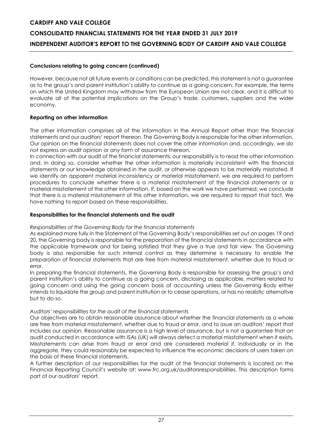# **CONSOLIDATED FINANCIAL STATEMENTS FOR THE YEAR ENDED 31 JULY 2019 INDEPENDENT AUDITOR'S REPORT TO THE GOVERNING BODY OF CARDIFF AND VALE COLLEGE**

# **Conclusions relating to going concern (continued)**

However, because not all future events or conditions can be predicted, this statement is not a guarantee as to the group's and parent institution's ability to continue as a going concern. For example, the terms on which the United Kingdom may withdraw from the European Union are not clear, and it is difficult to evaluate all of the potential implications on the Group's trade, customers, suppliers and the wider economy.

# **Reporting on other information**

The other information comprises all of the information in the Annual Report other than the financial statements and our auditors' report thereon. The Governing Body is responsible for the other information. Our opinion on the financial statements does not cover the other information and, accordingly, we do not express an audit opinion or any form of assurance thereon.

In connection with our audit of the financial statements, our responsibility is to read the other information and, in doing so, consider whether the other information is materially inconsistent with the financial statements or our knowledge obtained in the audit, or otherwise appears to be materially misstated. If we identify an apparent material inconsistency or material misstatement, we are required to perform procedures to conclude whether there is a material misstatement of the financial statements or a material misstatement of the other information. If, based on the work we have performed, we conclude that there is a material misstatement of this other information, we are required to report that fact. We have nothing to report based on these responsibilities.

# **Responsibilities for the financial statements and the audit**

# *Responsibilities of the Governing Body for the financial statements*

As explained more fully in the Statement of the Governing Body's responsibilities set out on pages 19 and 20, the Governing body is responsible for the preparation of the financial statements in accordance with the applicable framework and for being satisfied that they give a true and fair view. The Governing body is also responsible for such internal control as they determine is necessary to enable the preparation of financial statements that are free from material misstatement, whether due to fraud or error.

In preparing the financial statements, the Governing Body is responsible for assessing the group's and parent institution's ability to continue as a going concern, disclosing as applicable, matters related to going concern and using the going concern basis of accounting unless the Governing Body either intends to liquidate the group and parent institution or to cease operations, or has no realistic alternative but to do so.

# *Auditors' responsibilities for the audit of the financial statements*

Our objectives are to obtain reasonable assurance about whether the financial statements as a whole are free from material misstatement, whether due to fraud or error, and to issue an auditors' report that includes our opinion. Reasonable assurance is a high level of assurance, but is not a guarantee that an audit conducted in accordance with ISAs (UK) will always detect a material misstatement when it exists. Misstatements can arise from fraud or error and are considered material if, individually or in the aggregate, they could reasonably be expected to influence the economic decisions of users taken on the basis of these financial statements.

A further description of our responsibilities for the audit of the financial statements is located on the Financial Reporting Council's website at: www.frc.org.uk/auditorsresponsibilities. This description forms part of our auditors' report.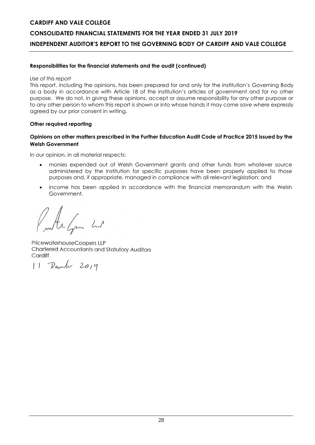# **CONSOLIDATED FINANCIAL STATEMENTS FOR THE YEAR ENDED 31 JULY 2019 INDEPENDENT AUDITOR'S REPORT TO THE GOVERNING BODY OF CARDIFF AND VALE COLLEGE**

# **Responsibilities for the financial statements and the audit (continued)**

#### *Use of this report*

This report, including the opinions, has been prepared for and only for the institution's Governing Body as a body in accordance with Article 18 of the institution's articles of government and for no other purpose. We do not, in giving these opinions, accept or assume responsibility for any other purpose or to any other person to whom this report is shown or into whose hands it may come save where expressly agreed by our prior consent in writing.

# **Other required reporting**

# **Opinions on other matters prescribed in the Further Education Audit Code of Practice 2015 issued by the Welsh Government**

In our opinion, in all material respects:

- monies expended out of Welsh Government grants and other funds from whatever source administered by the Institution for specific purposes have been properly applied to those purposes and, if appropriate, managed in compliance with all relevant legislation; and
- income has been applied in accordance with the financial memorandum with the Welsh Government.

Arlan Lot

PricewaterhouseCoopers LLP Chartered Accountants and Statutory Auditors Cardiff

11 Deurler 2019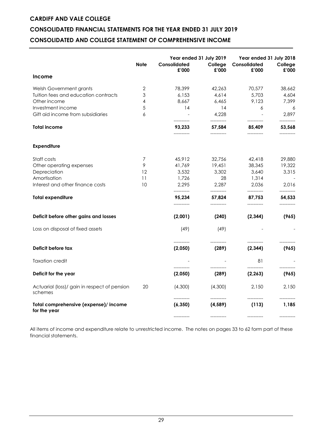# **CONSOLIDATED FINANCIAL STATEMENTS FOR THE YEAR ENDED 31 JULY 2019**

# **CONSOLIDATED AND COLLEGE STATEMENT OF COMPREHENSIVE INCOME**

|                                                         | <b>Note</b> | Consolidated<br>£'000  | Year ended 31 July 2019<br>College<br>£'000 | Year ended 31 July 2018<br>Consolidated<br>£'000 | College<br>£'000    |
|---------------------------------------------------------|-------------|------------------------|---------------------------------------------|--------------------------------------------------|---------------------|
| <b>Income</b>                                           |             |                        |                                             |                                                  |                     |
| Welsh Government grants                                 | 2           | 78,399                 | 42,263                                      | 70,577                                           | 38,662              |
| Tuition fees and education contracts                    | 3           | 6,153                  | 4,614                                       | 5,703                                            | 4,604               |
| Other income                                            | 4           | 8,667                  | 6,465                                       | 9,123                                            | 7,399               |
| Investment income                                       | 5           | 14                     | 14                                          | 6                                                | 6                   |
| Gift aid income from subsidiaries                       | 6           | ----------             | 4,228<br>----------                         | $\blacksquare$<br>----------                     | 2,897<br>---------- |
| <b>Total income</b>                                     |             | 93,233<br>----------   | 57,584<br>----------                        | 85,409<br>-----------                            | 53,568              |
| <b>Expenditure</b>                                      |             |                        |                                             |                                                  |                     |
| Staff costs                                             | 7           | 45,912                 | 32,756                                      | 42,418                                           | 29,880              |
| Other operating expenses                                | 9           | 41,769                 | 19,451                                      | 38,345                                           | 19,322              |
| Depreciation                                            | 12          | 3,532                  | 3,302                                       | 3,640                                            | 3,315               |
| Amortisation                                            | 11          | 1,726                  | 28                                          | 1,314                                            |                     |
| Interest and other finance costs                        | 10          | 2,295<br>----------    | 2,287<br>-----------                        | 2,036                                            | 2,016               |
| <b>Total expenditure</b>                                |             | 95,234                 | 57,824                                      | 87,753                                           | 54,533              |
| Deficit before other gains and losses                   |             | (2,001)                | (240)                                       | (2,344)                                          | (965)               |
| Loss on disposal of fixed assets                        |             | (49)                   | (49)                                        |                                                  |                     |
| Deficit before tax                                      |             | -----------<br>(2,050) | (289)                                       | (2,344)                                          | (965)               |
| <b>Taxation credit</b>                                  |             |                        |                                             | 81                                               |                     |
| Deficit for the year                                    |             | (2,050)                | (289)                                       | (2, 263)                                         | (965)               |
| Actuarial (loss)/ gain in respect of pension<br>schemes | 20          | (4,300)<br>----------  | (4,300)<br>-----------                      | 2,150                                            | 2.150               |
| Total comprehensive (expense)/ income<br>for the year   |             | (6, 350)               | (4, 589)                                    | (113)                                            | 1,185               |
|                                                         |             | -----------            | -----------                                 | -----------                                      |                     |

All items of income and expenditure relate to unrestricted income. The notes on pages 33 to 62 form part of these financial statements.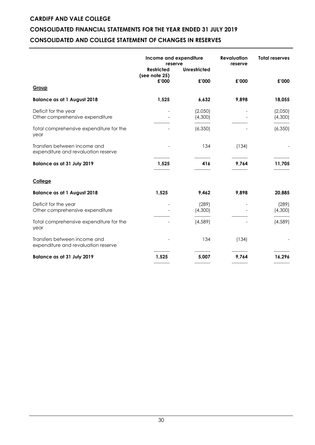# **CONSOLIDATED FINANCIAL STATEMENTS FOR THE YEAR ENDED 31 JULY 2019**

# **CONSOLIDATED AND COLLEGE STATEMENT OF CHANGES IN RESERVES**

|                                                                     | Income and expenditure<br>reserve<br><b>Unrestricted</b><br><b>Restricted</b><br>(see note 25) |                    | <b>Revaluation</b><br>reserve | <b>Total reserves</b> |  |
|---------------------------------------------------------------------|------------------------------------------------------------------------------------------------|--------------------|-------------------------------|-----------------------|--|
| Group                                                               | £'000                                                                                          | £'000              | £'000                         | £'000                 |  |
| <b>Balance as at 1 August 2018</b>                                  | 1,525                                                                                          | 6,632              | 9,898                         | 18,055                |  |
| Deficit for the year<br>Other comprehensive expenditure             |                                                                                                | (2,050)<br>(4,300) |                               | (2,050)<br>(4,300)    |  |
| Total comprehensive expenditure for the<br>year                     |                                                                                                | (6,350)            |                               | (6,350)               |  |
| Transfers between income and<br>expenditure and revaluation reserve |                                                                                                | 134                | (134)                         |                       |  |
| Balance as at 31 July 2019                                          | ----------<br>1,525                                                                            | -----------<br>416 | -----------<br>9,764          | -----------<br>11,705 |  |
| College                                                             |                                                                                                |                    |                               |                       |  |
| <b>Balance as at 1 August 2018</b>                                  | 1,525                                                                                          | 9,462              | 9,898                         | 20,885                |  |
| Deficit for the year<br>Other comprehensive expenditure             |                                                                                                | (289)<br>(4,300)   |                               | (289)<br>(4,300)      |  |
| Total comprehensive expenditure for the<br>year                     |                                                                                                | (4, 589)           |                               | (4, 589)              |  |
| Transfers between income and<br>expenditure and revaluation reserve |                                                                                                | 134                | (134)                         |                       |  |
| <b>Balance as at 31 July 2019</b>                                   | 1,525                                                                                          | 5,007              | 9,764                         | 16,296                |  |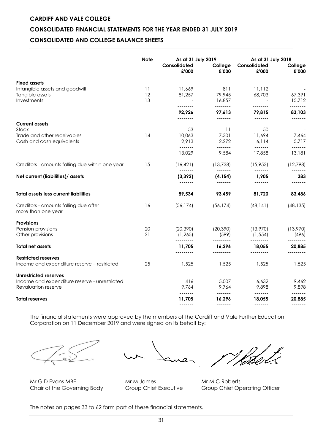# **CONSOLIDATED FINANCIAL STATEMENTS FOR THE YEAR ENDED 31 JULY 2019**

# **CONSOLIDATED AND COLLEGE BALANCE SHEETS**

|                                                                      | <b>Note</b>    | As at 31 July 2019<br>Consolidated<br>£'000 | College<br>£'000             | Consolidated<br>£'000        | As at 31 July 2018<br>College<br>£'000 |
|----------------------------------------------------------------------|----------------|---------------------------------------------|------------------------------|------------------------------|----------------------------------------|
| <b>Fixed assets</b>                                                  |                |                                             |                              |                              |                                        |
| Intangible assets and goodwill<br>Tangible assets<br>Investments     | 11<br>12<br>13 | 11,669<br>81,257                            | 811<br>79,945<br>16,857      | 11,112<br>68,703             | 67,391<br>15,712                       |
|                                                                      |                | --------                                    | --------                     |                              |                                        |
|                                                                      |                | 92,926<br>--------                          | 97,613<br>-------            | 79,815<br>-------            | 83,103<br>-------                      |
| <b>Current assets</b>                                                |                |                                             |                              |                              |                                        |
| Stock                                                                |                | 53                                          | 11                           | 50                           | $\overline{\phantom{a}}$               |
| Trade and other receivables<br>Cash and cash equivalents             | 14             | 10,063<br>2,913                             | 7,301<br>2,272               | 11,694<br>6,114              | 7,464<br>5,717                         |
|                                                                      |                | -------<br>13,029                           | -------<br>9,584             | <br>17,858                   | <br>13,181                             |
| Creditors - amounts falling due within one year                      | 15             | (16, 421)<br>-------                        | (13, 738)<br>$- - - - - - -$ | (15,953)<br>-------          | (12,798)<br>-------                    |
| Net current (liabilities)/ assets                                    |                | (3, 392)                                    | (4, 154)                     | 1,905                        | 383<br>.                               |
| <b>Total assets less current liabilities</b>                         |                | 89,534                                      | 93,459                       | 81,720                       | 83,486                                 |
| Creditors - amounts falling due after<br>more than one year          | 16             | (56, 174)                                   | (56, 174)                    | (48, 141)                    | (48, 135)                              |
| <b>Provisions</b>                                                    |                |                                             |                              |                              |                                        |
| Pension provisions<br>Other provisions                               | 20<br>21       | (20, 390)<br>(1, 265)                       | (20, 390)<br>(599)           | (13,970)<br>(1, 554)         | (13,970)<br>(496)                      |
| <b>Total net assets</b>                                              |                | <br>11,705                                  | 16.296                       | <br>18.055                   | 20,885                                 |
| <b>Restricted reserves</b>                                           |                | ---------                                   | ---------                    | ---------                    |                                        |
| Income and expenditure reserve - restricted                          | 25             | 1,525                                       | 1,525                        | 1,525                        | 1,525                                  |
| Unrestricted reserves                                                |                |                                             |                              |                              |                                        |
| Income and expenditure reserve - unrestricted<br>Revaluation reserve |                | 416<br>9,764                                | 5,007<br>9,764               | 6,632<br>9,898               | 9,462<br>9,898                         |
| <b>Total reserves</b>                                                |                | -------<br>11,705<br>-------                | -------<br>16,296<br>------- | -------<br>18,055<br>------- | -------<br>20,885<br>-------           |

The financial statements were approved by the members of the Cardiff and Vale Further Education Corporation on 11 December 2019 and were signed on its behalf by:



Mr G D Evans MBE Mr M James Mr M G Roberts

Chair of the Governing Body Group Chief Executive Group Chief Operating Officer

The notes on pages 33 to 62 form part of these financial statements.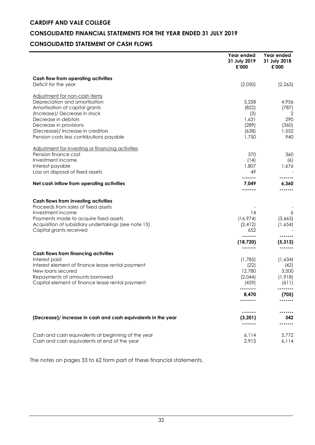# **CONSOLIDATED FINANCIAL STATEMENTS FOR THE YEAR ENDED 31 JULY 2019**

# **CONSOLIDATED STATEMENT OF CASH FLOWS**

|                                                                                                    | Year ended<br>31 July 2019<br>£'000 | Year ended<br>31 July 2018<br>£'000 |
|----------------------------------------------------------------------------------------------------|-------------------------------------|-------------------------------------|
| Cash flow from operating activities<br>Deficit for the year                                        | (2,050)                             | (2, 263)                            |
|                                                                                                    |                                     |                                     |
| Adjustment for non-cash items<br>Depreciation and amortisation                                     | 5,258                               | 4,956                               |
| Amortisation of capital grants                                                                     | (822)                               | (787)                               |
| (Increase)/ Decrease in stock                                                                      | (3)                                 | 2                                   |
| Decrease in debtors                                                                                | 1,631                               | 290                                 |
| Decrease in provisions                                                                             | (289)                               | (360)                               |
| (Decrease)/ Increase in creditors                                                                  | (638)                               | 1,552                               |
| Pension costs less contributions payable                                                           | 1,750                               | 940                                 |
| Adjustment for investing or financing activities                                                   |                                     |                                     |
| Pension finance cost                                                                               | 370                                 | 360                                 |
| Investment income                                                                                  | (14)                                | (6)                                 |
| Interest payable                                                                                   | 1,807                               | 1,676                               |
| Loss on disposal of fixed assets                                                                   | 49                                  |                                     |
| Net cash inflow from operating activities                                                          | 7,049                               | 6,360                               |
|                                                                                                    |                                     |                                     |
| Cash flows from investing activities                                                               |                                     |                                     |
| Proceeds from sales of fixed assets                                                                |                                     |                                     |
| Investment income                                                                                  | 14                                  | 6                                   |
| Payments made to acquire fixed assets                                                              | (16,974)                            | (3,665)                             |
| Acquisition of subsidiary undertakings (see note 13)                                               | (2, 412)                            | (1,654)                             |
| Capital grants received                                                                            | 652<br>.                            |                                     |
|                                                                                                    | (18, 720)                           | (5, 313)                            |
| <b>Cash flows from financing activities</b>                                                        | -------                             |                                     |
| Interest paid                                                                                      | (1,785)                             | (1,634)                             |
| Interest element of finance lease rental payment                                                   | (22)                                | (42)                                |
| New loans secured                                                                                  | 12,780                              | 3,500                               |
| Repayments of amounts borrowed                                                                     | (2,044)                             | (1, 918)                            |
| Capital element of finance lease rental payment                                                    | (459)                               | (611)                               |
|                                                                                                    | 8,470                               | (705)                               |
|                                                                                                    |                                     |                                     |
|                                                                                                    |                                     |                                     |
| (Decrease)/ increase in cash and cash equivalents in the year                                      | (3, 201)                            | 342                                 |
|                                                                                                    |                                     |                                     |
| Cash and cash equivalents at beginning of the year<br>Cash and cash equivalents at end of the year | 6,114<br>2,913                      | 5,772<br>6,114                      |

The notes on pages 33 to 62 form part of these financial statements.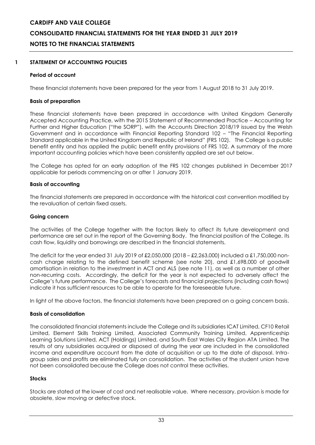# **CARDIFF AND VALE COLLEGE CONSOLIDATED FINANCIAL STATEMENTS FOR THE YEAR ENDED 31 JULY 2019 NOTES TO THE FINANCIAL STATEMENTS**

# **1 STATEMENT OF ACCOUNTING POLICIES**

### **Period of account**

These financial statements have been prepared for the year from 1 August 2018 to 31 July 2019.

#### **Basis of preparation**

These financial statements have been prepared in accordance with United Kingdom Generally Accepted Accounting Practice, with the 2015 Statement of Recommended Practice – Accounting for Further and Higher Education ("the SORP"), with the Accounts Direction 2018/19 issued by the Welsh Government and in accordance with Financial Reporting Standard 102 – "The Financial Reporting Standard applicable in the United Kingdom and Republic of Ireland" (FRS 102). The College is a public benefit entity and has applied the public benefit entity provisions of FRS 102. A summary of the more important accounting policies which have been consistently applied are set out below.

The College has opted for an early adoption of the FRS 102 changes published in December 2017 applicable for periods commencing on or after 1 January 2019.

#### **Basis of accounting**

The financial statements are prepared in accordance with the historical cost convention modified by the revaluation of certain fixed assets.

#### **Going concern**

The activities of the College together with the factors likely to affect its future development and performance are set out in the report of the Governing Body. The financial position of the College, its cash flow, liquidity and borrowings are described in the financial statements.

The deficit for the year ended 31 July 2019 of £2,050,000 (2018 – £2,263,000) included a £1,750,000 noncash charge relating to the defined benefit scheme (see note 20), and £1,698,000 of goodwill amortisation in relation to the investment in ACT and ALS (see note 11), as well as a number of other non-recurring costs. Accordingly, the deficit for the year is not expected to adversely affect the College's future performance. The College's forecasts and financial projections (including cash flows) indicate it has sufficient resources to be able to operate for the foreseeable future.

In light of the above factors, the financial statements have been prepared on a going concern basis.

#### **Basis of consolidation**

The consolidated financial statements include the College and its subsidiaries ICAT Limited, CF10 Retail Limited, Element Skills Training Limited, Associated Community Training Limited, Apprenticeship Learning Solutions Limited, ACT (Holdings) Limited, and South East Wales City Region ATA Limited. The results of any subsidiaries acquired or disposed of during the year are included in the consolidated income and expenditure account from the date of acquisition or up to the date of disposal. Intragroup sales and profits are eliminated fully on consolidation. The activities of the student union have not been consolidated because the College does not control these activities.

#### **Stocks**

Stocks are stated at the lower of cost and net realisable value. Where necessary, provision is made for obsolete, slow moving or defective stock.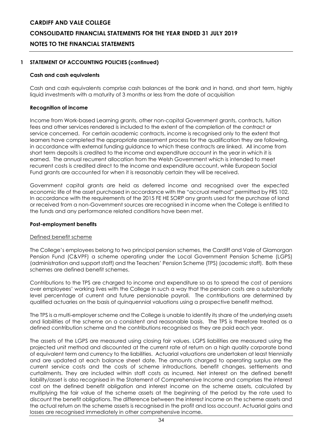# **CARDIFF AND VALE COLLEGE CONSOLIDATED FINANCIAL STATEMENTS FOR THE YEAR ENDED 31 JULY 2019 NOTES TO THE FINANCIAL STATEMENTS**

# **1 STATEMENT OF ACCOUNTING POLICIES (continued)**

### **Cash and cash equivalents**

Cash and cash equivalents comprise cash balances at the bank and in hand, and short term, highly liquid investments with a maturity of 3 months or less from the date of acquisition

#### **Recognition of income**

Income from Work-based Learning grants, other non-capital Government grants, contracts, tuition fees and other services rendered is included to the extent of the completion of the contract or service concerned. For certain academic contracts, income is recognised only to the extent that learners have completed the appropriate assessment process for the qualification they are following, in accordance with external funding guidance to which these contracts are linked. All income from short term deposits is credited to the income and expenditure account in the year in which it is earned. The annual recurrent allocation from the Welsh Government which is intended to meet recurrent costs is credited direct to the income and expenditure account, while European Social Fund grants are accounted for when it is reasonably certain they will be received.

Government capital grants are held as deferred income and recognised over the expected economic life of the asset purchased in accordance with the "accrual method" permitted by FRS 102. In accordance with the requirements of the 2015 FE HE SORP any grants used for the purchase of land or received from a non-Government sources are recognised in income when the College is entitled to the funds and any performance related conditions have been met.

#### **Post-employment benefits**

#### Defined benefit scheme

The College's employees belong to two principal pension schemes, the Cardiff and Vale of Glamorgan Pension Fund (C&VPF) a scheme operating under the Local Government Pension Scheme (LGPS) (administration and support staff) and the Teachers' Pension Scheme (TPS) (academic staff). Both these schemes are defined benefit schemes.

Contributions to the TPS are charged to income and expenditure so as to spread the cost of pensions over employees' working lives with the College in such a way that the pension costs are a substantially level percentage of current and future pensionable payroll. The contributions are determined by qualified actuaries on the basis of quinquennial valuations using a prospective benefit method.

The TPS is a multi-employer scheme and the College is unable to identify its share of the underlying assets and liabilities of the scheme on a consistent and reasonable basis. The TPS is therefore treated as a defined contribution scheme and the contributions recognised as they are paid each year.

The assets of the LGPS are measured using closing fair values. LGPS liabilities are measured using the projected unit method and discounted at the current rate of return on a high quality corporate bond of equivalent term and currency to the liabilities. Actuarial valuations are undertaken at least triennially and are updated at each balance sheet date. The amounts charged to operating surplus are the current service costs and the costs of scheme introductions, benefit changes, settlements and curtailments. They are included within staff costs as incurred. Net interest on the defined benefit liability/asset is also recognised in the Statement of Comprehensive Income and comprises the interest cost on the defined benefit obligation and interest income on the scheme assets, calculated by multiplying the fair value of the scheme assets at the beginning of the period by the rate used to discount the benefit obligations. The difference between the interest income on the scheme assets and the actual return on the scheme assets is recognised in the profit and loss account. Actuarial gains and losses are recognised immediately in other comprehensive income.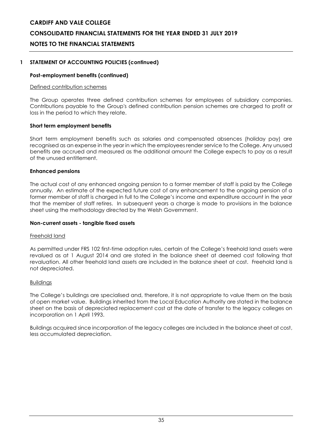# **CONSOLIDATED FINANCIAL STATEMENTS FOR THE YEAR ENDED 31 JULY 2019**

# **NOTES TO THE FINANCIAL STATEMENTS**

### **1 STATEMENT OF ACCOUNTING POLICIES (continued)**

#### **Post-employment benefits (continued)**

#### Defined contribution schemes

The Group operates three defined contribution schemes for employees of subsidiary companies. Contributions payable to the Group's defined contribution pension schemes are charged to profit or loss in the period to which they relate.

#### **Short term employment benefits**

Short term employment benefits such as salaries and compensated absences (holiday pay) are recognised as an expense in the year in which the employees render service to the College. Any unused benefits are accrued and measured as the additional amount the College expects to pay as a result of the unused entitlement.

#### **Enhanced pensions**

The actual cost of any enhanced ongoing pension to a former member of staff is paid by the College annually. An estimate of the expected future cost of any enhancement to the ongoing pension of a former member of staff is charged in full to the College's income and expenditure account in the year that the member of staff retires. In subsequent years a charge is made to provisions in the balance sheet using the methodology directed by the Welsh Government.

#### **Non-current assets - tangible fixed assets**

#### Freehold land

As permitted under FRS 102 first-time adoption rules, certain of the College's freehold land assets were revalued as at 1 August 2014 and are stated in the balance sheet at deemed cost following that revaluation. All other freehold land assets are included in the balance sheet at cost. Freehold land is not depreciated.

#### Buildings

The College's buildings are specialised and, therefore, it is not appropriate to value them on the basis of open market value. Buildings inherited from the Local Education Authority are stated in the balance sheet on the basis of depreciated replacement cost at the date of transfer to the legacy colleges on incorporation on 1 April 1993.

Buildings acquired since incorporation of the legacy colleges are included in the balance sheet at cost, less accumulated depreciation.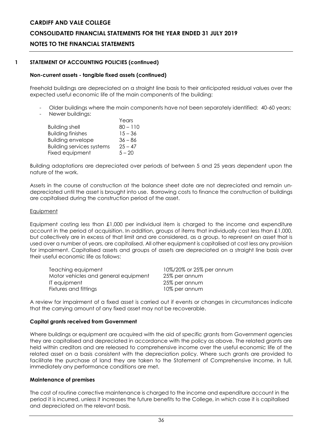# **CONSOLIDATED FINANCIAL STATEMENTS FOR THE YEAR ENDED 31 JULY 2019**

# **NOTES TO THE FINANCIAL STATEMENTS**

### **1 STATEMENT OF ACCOUNTING POLICIES (continued)**

#### **Non-current assets - tangible fixed assets (continued)**

Freehold buildings are depreciated on a straight line basis to their anticipated residual values over the expected useful economic life of the main components of the building:

- Older buildings where the main components have not been separately identified: 40-60 years;
- Newer buildings:

|                                  | Years      |
|----------------------------------|------------|
| <b>Building shell</b>            | $80 - 110$ |
| <b>Building finishes</b>         | $15 - 36$  |
| <b>Building envelope</b>         | $36 - 86$  |
| <b>Building services systems</b> | $25 - 47$  |
| Fixed equipment                  | $5 - 20$   |

Building adaptations are depreciated over periods of between 5 and 25 years dependent upon the nature of the work.

Assets in the course of construction at the balance sheet date are not depreciated and remain undepreciated until the asset is brought into use. Borrowing costs to finance the construction of buildings are capitalised during the construction period of the asset.

#### **Equipment**

Equipment costing less than £1,000 per individual item is charged to the income and expenditure account in the period of acquisition. In addition, groups of items that individually cost less than £1,000, but collectively are in excess of that limit and are considered, as a group, to represent an asset that is used over a number of years, are capitalised. All other equipment is capitalised at cost less any provision for impairment. Capitalised assets and groups of assets are depreciated on a straight line basis over their useful economic life as follows:

| Teaching equipment                   | 10%/20% or 25% per annum |
|--------------------------------------|--------------------------|
| Motor vehicles and general equipment | 25% per annum            |
| IT equipment                         | 25% per annum            |
| Fixtures and fittings                | 10% per annum            |

A review for impairment of a fixed asset is carried out if events or changes in circumstances indicate that the carrying amount of any fixed asset may not be recoverable.

#### **Capital grants received from Government**

Where buildings or equipment are acquired with the aid of specific grants from Government agencies they are capitalised and depreciated in accordance with the policy as above. The related grants are held within creditors and are released to comprehensive income over the useful economic life of the related asset on a basis consistent with the depreciation policy. Where such grants are provided to facilitate the purchase of land they are taken to the Statement of Comprehensive Income, in full, immediately any performance conditions are met.

#### **Maintenance of premises**

The cost of routine corrective maintenance is charged to the income and expenditure account in the period it is incurred, unless it increases the future benefits to the College, in which case it is capitalised and depreciated on the relevant basis.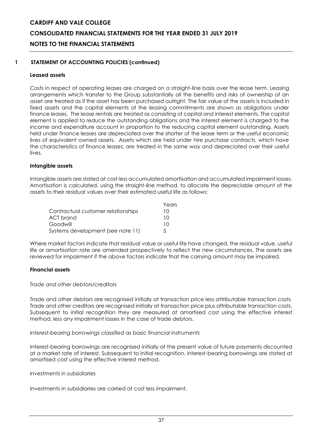# **CARDIFF AND VALE COLLEGE CONSOLIDATED FINANCIAL STATEMENTS FOR THE YEAR ENDED 31 JULY 2019 NOTES TO THE FINANCIAL STATEMENTS**

# **1 STATEMENT OF ACCOUNTING POLICIES (continued)**

### **Leased assets**

Costs in respect of operating leases are charged on a straight-line basis over the lease term. Leasing arrangements which transfer to the Group substantially all the benefits and risks of ownership of an asset are treated as if the asset has been purchased outright. The fair value of the assets is included in fixed assets and the capital elements of the leasing commitments are shown as obligations under finance leases. The lease rentals are treated as consisting of capital and interest elements. The capital element is applied to reduce the outstanding obligations and the interest element is charged to the income and expenditure account in proportion to the reducing capital element outstanding. Assets held under finance leases are depreciated over the shorter of the lease term or the useful economic lives of equivalent owned assets. Assets which are held under hire purchase contracts, which have the characteristics of finance leases, are treated in the same way and depreciated over their useful lives.

#### **Intangible assets**

Intangible assets are stated at cost less accumulated amortisation and accumulated impairment losses. Amortisation is calculated, using the straight-line method, to allocate the depreciable amount of the assets to their residual values over their estimated useful life as follows:

|                                    | Years         |
|------------------------------------|---------------|
| Contractual customer relationships | 10            |
| ACT brand                          | 10            |
| Goodwill                           | 10            |
| Systems development (see note 11)  | $\mathcal{L}$ |

Where market factors indicate that residual value or useful life have changed, the residual value, useful life or amortisation rate are amended prospectively to reflect the new circumstances. The assets are reviewed for impairment if the above factors indicate that the carrying amount may be impaired.

#### **Financial assets**

#### *Trade and other debtors/creditors*

Trade and other debtors are recognised initially at transaction price less attributable transaction costs. Trade and other creditors are recognised initially at transaction price plus attributable transaction costs. Subsequent to initial recognition they are measured at amortised cost using the effective interest method, less any impairment losses in the case of trade debtors.

#### *Interest-bearing borrowings classified as basic financial instruments*

Interest-bearing borrowings are recognised initially at the present value of future payments discounted at a market rate of interest. Subsequent to initial recognition, interest-bearing borrowings are stated at amortised cost using the effective interest method.

#### *Investments in subsidiaries*

Investments in subsidiaries are carried at cost less impairment.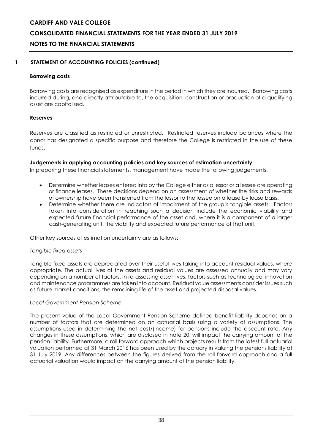# **CONSOLIDATED FINANCIAL STATEMENTS FOR THE YEAR ENDED 31 JULY 2019**

# **NOTES TO THE FINANCIAL STATEMENTS**

# **1 STATEMENT OF ACCOUNTING POLICIES (continued)**

### **Borrowing costs**

Borrowing costs are recognised as expenditure in the period in which they are incurred. Borrowing costs incurred during, and directly attributable to, the acquisition, construction or production of a qualifying asset are capitalised.

# **Reserves**

Reserves are classified as restricted or unrestricted. Restricted reserves include balances where the donor has designated a specific purpose and therefore the College is restricted in the use of these funds.

# **Judgements in applying accounting policies and key sources of estimation uncertainty**

In preparing these financial statements, management have made the following judgements:

- Determine whether leases entered into by the College either as a lessor or a lessee are operating or finance leases. These decisions depend on an assessment of whether the risks and rewards of ownership have been transferred from the lessor to the lessee on a lease by lease basis.
- Determine whether there are indicators of impairment of the group's tangible assets. Factors taken into consideration in reaching such a decision include the economic viability and expected future financial performance of the asset and, where it is a component of a larger cash-generating unit, the viability and expected future performance of that unit.

Other key sources of estimation uncertainty are as follows:

# *Tangible fixed assets*

Tangible fixed assets are depreciated over their useful lives taking into account residual values, where appropriate. The actual lives of the assets and residual values are assessed annually and may vary depending on a number of factors. In re-assessing asset lives, factors such as technological innovation and maintenance programmes are taken into account. Residual value assessments consider issues such as future market conditions, the remaining life of the asset and projected disposal values.

# *Local Government Pension Scheme*

The present value of the Local Government Pension Scheme defined benefit liability depends on a number of factors that are determined on an actuarial basis using a variety of assumptions. The assumptions used in determining the net cost/(income) for pensions include the discount rate. Any changes in these assumptions, which are disclosed in note 20, will impact the carrying amount of the pension liability. Furthermore, a roll forward approach which projects results from the latest full actuarial valuation performed at 31 March 2016 has been used by the actuary in valuing the pensions liability at 31 July 2019. Any differences between the figures derived from the roll forward approach and a full actuarial valuation would impact on the carrying amount of the pension liability.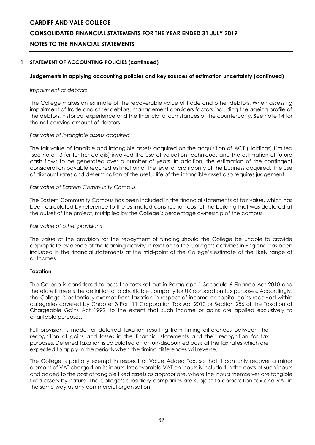# **CARDIFF AND VALE COLLEGE CONSOLIDATED FINANCIAL STATEMENTS FOR THE YEAR ENDED 31 JULY 2019 NOTES TO THE FINANCIAL STATEMENTS**

# **1 STATEMENT OF ACCOUNTING POLICIES (continued)**

# **Judgements in applying accounting policies and key sources of estimation uncertainty (continued)**

#### *Impairment of debtors*

The College makes an estimate of the recoverable value of trade and other debtors. When assessing impairment of trade and other debtors, management considers factors including the ageing profile of the debtors, historical experience and the financial circumstances of the counterparty. See note 14 for the net carrying amount of debtors.

#### *Fair value of intangible assets acquired*

The fair value of tangible and intangible assets acquired on the acquisition of ACT (Holdings) Limited (see note 13 for further details) involved the use of valuation techniques and the estimation of future cash flows to be generated over a number of years. In addition, the estimation of the contingent consideration payable required estimation of the level of profitability of the business acquired. The use of discount rates and determination of the useful life of the intangible asset also requires judgement.

#### *Fair value of Eastern Community Campus*

The Eastern Community Campus has been included in the financial statements at fair value, which has been calculated by reference to the estimated construction cost of the building that was declared at the outset of the project, multiplied by the College's percentage ownership of the campus.

#### *Fair value of other provisions*

The value of the provision for the repayment of funding should the College be unable to provide appropriate evidence of the learning activity in relation to the College's activities in England has been included in the financial statements at the mid-point of the College's estimate of the likely range of outcomes.

# **Taxation**

The College is considered to pass the tests set out in Paragraph 1 Schedule 6 Finance Act 2010 and therefore it meets the definition of a charitable company for UK corporation tax purposes. Accordingly, the College is potentially exempt from taxation in respect of income or capital gains received within categories covered by Chapter 3 Part 11 Corporation Tax Act 2010 or Section 256 of the Taxation of Chargeable Gains Act 1992, to the extent that such income or gains are applied exclusively to charitable purposes.

Full provision is made for deferred taxation resulting from timing differences between the recognition of gains and losses in the financial statements and their recognition for tax purposes. Deferred taxation is calculated on an un-discounted basis at the tax rates which are expected to apply in the periods when the timing differences will reverse.

The College is partially exempt in respect of Value Added Tax, so that it can only recover a minor element of VAT charged on its inputs. Irrecoverable VAT on inputs is included in the costs of such inputs and added to the cost of tangible fixed assets as appropriate, where the inputs themselves are tangible fixed assets by nature. The College's subsidiary companies are subject to corporation tax and VAT in the same way as any commercial organisation.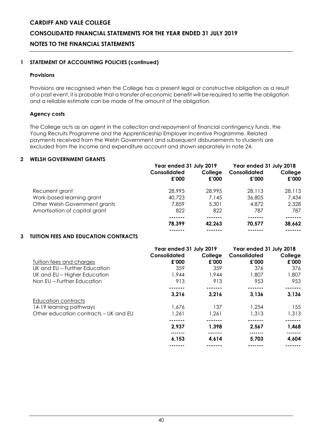# **CONSOLIDATED FINANCIAL STATEMENTS FOR THE YEAR ENDED 31 JULY 2019**

# **NOTES TO THE FINANCIAL STATEMENTS**

# **1 STATEMENT OF ACCOUNTING POLICIES (continued)**

#### **Provisions**

Provisions are recognised when the College has a present legal or constructive obligation as a result of a past event, it is probable that a transfer of economic benefit will be required to settle the obligation and a reliable estimate can be made of the amount of the obligation.

# **Agency costs**

The College acts as an agent in the collection and repayment of financial contingency funds, the Young Recruits Programme and the Apprenticeship Employer Incentive Programme. Related payments received from the Welsh Government and subsequent disbursements to students are excluded from the income and expenditure account and shown separately in note 24.

### **2 WELSH GOVERNMENT GRANTS**

|                               | Year ended 31 July 2019 |                  | Year ended 31 July 2018 |                  |
|-------------------------------|-------------------------|------------------|-------------------------|------------------|
|                               | Consolidated<br>£'000   | College<br>£'000 | Consolidated<br>£'000   | College<br>£'000 |
| Recurrent grant               | 28,995                  | 28,995           | 28,113                  | 28,113           |
| Work-based learning grant     | 40,723                  | 7,145            | 36,805                  | 7,434            |
| Other Welsh Government grants | 7,859                   | 5,301            | 4,872                   | 2,328            |
| Amortisation of capital grant | 822                     | 822              | 787                     | 787              |
|                               |                         |                  |                         |                  |
|                               | 78,399                  | 42,263           | 70.577                  | 38,662           |
|                               |                         |                  |                         |                  |

# **3 TUITION FEES AND EDUCATION CONTRACTS**

|                                       | Year ended 31 July 2019<br>Consolidated | College | Year ended 31 July 2018<br>Consolidated | College |
|---------------------------------------|-----------------------------------------|---------|-----------------------------------------|---------|
| Tuition fees and charges              | £'000                                   | £'000   | £'000                                   | £'000   |
| UK and EU – Further Education         | 359                                     | 359     | 376                                     | 376     |
| UK and EU - Higher Education          | 1,944                                   | 1,944   | 1,807                                   | 1,807   |
| Non EU – Further Education            | 913                                     | 913     | 953                                     | 953     |
|                                       |                                         |         |                                         |         |
|                                       | 3,216                                   | 3,216   | 3,136                                   | 3,136   |
| Education contracts                   |                                         |         |                                         |         |
| 14-19 learning pathways               | 1.676                                   | 137     | 1.254                                   | 155     |
| Other education contracts – UK and EU | 1.261                                   | 1,261   | 1,313                                   | 1,313   |
|                                       |                                         |         |                                         | ------  |
|                                       | 2,937                                   | 1,398   | 2,567                                   | 1,468   |
|                                       | 6,153                                   | 4,614   | 5,703                                   | 4,604   |
|                                       |                                         |         |                                         |         |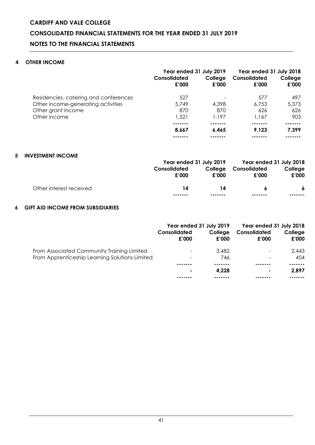# **CARDIFF AND VALE COLLEGE CONSOLIDATED FINANCIAL STATEMENTS FOR THE YEAR ENDED 31 JULY 2019 NOTES TO THE FINANCIAL STATEMENTS**

# **4 OTHER INCOME**

|                                                          | Year ended 31 July 2019<br>Consolidated<br>£'000 | College<br>£'000 | Year ended 31 July 2018<br>Consolidated<br>£'000 | College<br>£'000 |
|----------------------------------------------------------|--------------------------------------------------|------------------|--------------------------------------------------|------------------|
| Residencies, catering and conferences                    | 527                                              |                  | 577                                              | 497              |
| Other income-generating activities<br>Other grant income | 5,749<br>870                                     | 4,398<br>870     | 6,753<br>626                                     | 5,373<br>626     |
| Other income                                             | 1,521                                            | 1,197            | 1.167                                            | 903              |
|                                                          | 8.667                                            | 6.465            | 9.123                                            | 7,399            |
|                                                          |                                                  |                  |                                                  |                  |

### **5 INVESTMENT INCOME**

|                         |              |         | Year ended 31 July 2019 Year ended 31 July 2018 |         |
|-------------------------|--------------|---------|-------------------------------------------------|---------|
|                         | Consolidated |         | College Consolidated                            | College |
|                         | £'000        | £'000   | £'000                                           | £'000   |
| Other interest received | 14           | 14      | -6                                              |         |
|                         | -------      | ------- |                                                 | ------- |

# **6 GIFT AID INCOME FROM SUBSIDIARIES**

|                                                | Consolidated<br>£'000    | Year ended 31 July 2019<br>College<br>£'000 | Year ended 31 July 2018<br>Consolidated<br>£'000 | College<br>£'000 |
|------------------------------------------------|--------------------------|---------------------------------------------|--------------------------------------------------|------------------|
| From Associated Community Training Limited     | $\overline{\phantom{a}}$ | 3,482                                       |                                                  | 2,443            |
| From Apprenticeship Learning Solutions Limited | -                        | 746                                         |                                                  | 454              |
|                                                |                          |                                             |                                                  |                  |
|                                                | $\blacksquare$           | 4.228                                       | ۰.                                               | 2.897            |
|                                                |                          |                                             |                                                  |                  |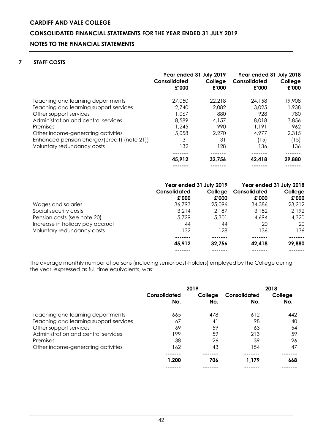# **CARDIFF AND VALE COLLEGE CONSOLIDATED FINANCIAL STATEMENTS FOR THE YEAR ENDED 31 JULY 2019 NOTES TO THE FINANCIAL STATEMENTS**

# **7 STAFF COSTS**

|                                             | Year ended 31 July 2019<br>Consolidated<br>£'000 | College<br>£'000 | Year ended 31 July 2018<br>Consolidated<br>£'000 | College<br>£'000 |
|---------------------------------------------|--------------------------------------------------|------------------|--------------------------------------------------|------------------|
| Teaching and learning departments           | 27,050                                           | 22,218           | 24,158                                           | 19,908           |
| Teaching and learning support services      | 2.740                                            | 2,082            | 3.025                                            | 1,938            |
| Other support services                      | 1,067                                            | 880              | 928                                              | 780              |
| Administration and central services         | 8,589                                            | 4,157            | 8,018                                            | 3,856            |
| Premises                                    | 1,245                                            | 990              | 1.191                                            | 962              |
| Other income-generating activities          | 5,058                                            | 2,270            | 4,977                                            | 2,315            |
| Enhanced pension charge/(credit) (note 21)) | 31                                               | 31               | (15)                                             | (15)             |
| Voluntary redundancy costs                  | 132                                              | 128              | 136                                              | 136              |
|                                             |                                                  |                  |                                                  |                  |
|                                             | 45,912                                           | 32,756           | 42,418                                           | 29,880           |
|                                             |                                                  |                  |                                                  |                  |

|                                 | Year ended 31 July 2019 |                  | Year ended 31 July 2018 |                  |
|---------------------------------|-------------------------|------------------|-------------------------|------------------|
|                                 | Consolidated<br>£'000   | College<br>£'000 | Consolidated<br>£'000   | College<br>£'000 |
| Wages and salaries              | 36,793                  | 25,096           | 34,386                  | 23,212           |
| Social security costs           | 3.214                   | 2,187            | 3,182                   | 2,192            |
| Pension costs (see note 20)     | 5,729                   | 5,301            | 4,694                   | 4,320            |
| Increase in holiday pay accrual | 44                      | 44               | 20                      | 20               |
| Voluntary redundancy costs      | 132                     | 128              | 136                     | 136              |
|                                 |                         |                  |                         |                  |
|                                 | 45.912                  | 32.756           | 42,418                  | 29,880           |
|                                 |                         |                  |                         |                  |

The average monthly number of persons (including senior post-holders) employed by the College during the year, expressed as full time equivalents, was:

|                                        | 2019                |                |                     | 2018           |
|----------------------------------------|---------------------|----------------|---------------------|----------------|
|                                        | Consolidated<br>No. | College<br>No. | Consolidated<br>No. | College<br>No. |
| Teaching and learning departments      | 665                 | 478            | 612                 | 442            |
| Teaching and learning support services | 67                  | 41             | 98                  | 40             |
| Other support services                 | 69                  | 59             | 63                  | 54             |
| Administration and central services    | 199                 | 59             | 213                 | 59             |
| Premises                               | 38                  | 26             | 39                  | 26             |
| Other income-generating activities     | 162                 | 43             | l 54                | 47             |
|                                        |                     |                |                     |                |
|                                        | 1,200               | 706            | 1.179               | 668            |
|                                        |                     |                |                     |                |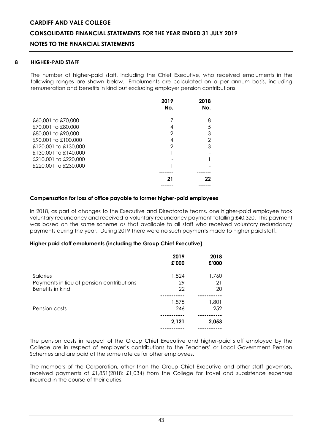# **CONSOLIDATED FINANCIAL STATEMENTS FOR THE YEAR ENDED 31 JULY 2019**

# **NOTES TO THE FINANCIAL STATEMENTS**

#### **8 HIGHER-PAID STAFF**

The number of higher-paid staff, including the Chief Executive, who received emoluments in the following ranges are shown below. Emoluments are calculated on a per annum basis, including remuneration and benefits in kind but excluding employer pension contributions.

|                      | 2019<br>No. | 2018<br>No.    |
|----------------------|-------------|----------------|
| £60,001 to £70,000   |             | 8              |
| £70,001 to £80,000   |             | 5              |
| £80,001 to £90,000   | 2           | 3              |
| £90,001 to £100,000  |             | $\overline{2}$ |
| £120,001 to £130,000 | 2           | 3              |
| £130,001 to £140,000 |             |                |
| £210,001 to £220,000 |             |                |
| £220,001 to £230,000 |             |                |
|                      |             |                |
|                      | 21          | 22             |
|                      |             |                |

#### **Compensation for loss of office payable to former higher-paid employees**

In 2018, as part of changes to the Executive and Directorate teams, one higher-paid employee took voluntary redundancy and received a voluntary redundancy payment totalling £40,320. This payment was based on the same scheme as that available to all staff who received voluntary redundancy payments during the year. During 2019 there were no such payments made to higher paid staff.

#### **Higher paid staff emoluments (including the Group Chief Executive)**

|                                                                           | 2019<br>£'000     | 2018<br>£'000     |
|---------------------------------------------------------------------------|-------------------|-------------------|
| Salaries<br>Payments in lieu of pension contributions<br>Benefits in kind | 1,824<br>29<br>22 | 1,760<br>21<br>20 |
|                                                                           |                   |                   |
| Pension costs                                                             | 1,875<br>246      | 1,801<br>252      |
|                                                                           |                   |                   |
|                                                                           | 2,121             | 2,053             |
|                                                                           |                   |                   |

The pension costs in respect of the Group Chief Executive and higher-paid staff employed by the College are in respect of employer's contributions to the Teachers' or Local Government Pension Schemes and are paid at the same rate as for other employees.

The members of the Corporation, other than the Group Chief Executive and other staff governors, received payments of £1,851(2018: £1,034) from the College for travel and subsistence expenses incurred in the course of their duties.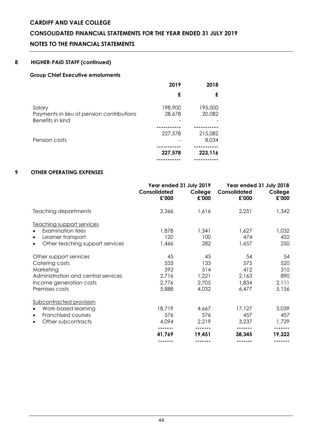# **CONSOLIDATED FINANCIAL STATEMENTS FOR THE YEAR ENDED 31 JULY 2019**

# **NOTES TO THE FINANCIAL STATEMENTS**

# **8 HIGHER-PAID STAFF (continued)**

#### **Group Chief Executive emoluments**

|                                                                         | 2019              | 2018              |
|-------------------------------------------------------------------------|-------------------|-------------------|
|                                                                         | £                 | £                 |
| Salary<br>Payments in lieu of pension contributions<br>Benefits in kind | 198,900<br>28,678 | 195,000<br>20,082 |
|                                                                         |                   |                   |
| Pension costs                                                           | 227,578           | 215,082<br>8,034  |
|                                                                         |                   |                   |
|                                                                         | 227,578           | 223,116           |
|                                                                         |                   |                   |

# **9 OTHER OPERATING EXPENSES**

|                                              | Year ended 31 July 2019<br>Consolidated<br>£'000 | College<br>£'000 | Year ended 31 July 2018<br>Consolidated<br>£'000 | College<br>£'000 |
|----------------------------------------------|--------------------------------------------------|------------------|--------------------------------------------------|------------------|
| Teaching departments                         | 2,366                                            | 1,616            | 2,251                                            | 1,342            |
| Teaching support services                    |                                                  |                  |                                                  |                  |
| <b>Examination fees</b><br>$\bullet$         | 1,878                                            | 1,341            | 1,627                                            | 1,032            |
| Learner transport<br>$\bullet$               | 120                                              | 100              | 474                                              | 432              |
| Other teaching support services<br>$\bullet$ | 1,466                                            | 282              | 1,657                                            | 250              |
| Other support services                       | 45                                               | 45               | 54                                               | 54               |
| Catering costs                               | 533                                              | 133              | 575                                              | 520              |
| Marketing                                    | 592                                              | 514              | 412                                              | 310              |
| Administration and central services          | 2,716                                            | 1,221            | 2,163                                            | 890              |
| Income generation costs                      | 2,776                                            | 2,705            | 1,834                                            | 2,111            |
| Premises costs                               | 5,888                                            | 4,032            | 6,477                                            | 5,156            |
| Subcontracted provision                      |                                                  |                  |                                                  |                  |
| Work-based learning<br>$\bullet$             | 18,719                                           | 4,667            | 17,127                                           | 5,039            |
| Franchised courses<br>$\bullet$              | 576                                              | 576              | 457                                              | 457              |
| Other subcontracts<br>$\bullet$              | 4,094                                            | 2,219            | 3,237                                            | 1,729            |
|                                              | 41,769                                           | 19,451           | 38,345                                           | 19,322           |
|                                              |                                                  |                  |                                                  |                  |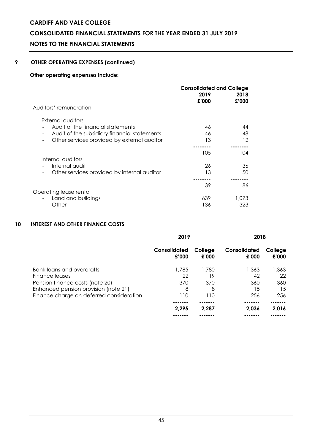# **CONSOLIDATED FINANCIAL STATEMENTS FOR THE YEAR ENDED 31 JULY 2019**

# **NOTES TO THE FINANCIAL STATEMENTS**

# **9 OTHER OPERATING EXPENSES (continued)**

# **Other operating expenses include:**

|                                                                   | <b>Consolidated and College</b> |               |  |
|-------------------------------------------------------------------|---------------------------------|---------------|--|
|                                                                   | 2019<br>£'000                   | 2018<br>£'000 |  |
| Auditors' remuneration                                            |                                 |               |  |
| External auditors                                                 |                                 |               |  |
| Audit of the financial statements                                 | 46                              | 44            |  |
| Audit of the subsidiary financial statements<br>$\qquad \qquad -$ | 46                              | 48            |  |
| Other services provided by external auditor                       | 13                              | 12            |  |
|                                                                   |                                 |               |  |
|                                                                   | 105                             | 104           |  |
| Internal auditors                                                 |                                 |               |  |
| Internal audit                                                    | 26                              | 36            |  |
| Other services provided by internal auditor                       | 13                              | 50            |  |
|                                                                   |                                 |               |  |
|                                                                   | 39                              | 86            |  |
| Operating lease rental                                            |                                 |               |  |
| Land and buildings                                                | 639                             | 1.073         |  |
| Other                                                             | 136                             | 323           |  |

# **10 INTEREST AND OTHER FINANCE COSTS**

|                                             | 2019                  |                  | 2018                  |                  |
|---------------------------------------------|-----------------------|------------------|-----------------------|------------------|
|                                             | Consolidated<br>£'000 | College<br>£'000 | Consolidated<br>£'000 | College<br>£'000 |
| Bank loans and overdrafts<br>Finance leases | 1,785<br>22           | 1,780<br>19      | 1,363<br>42           | 1,363<br>22      |
| Pension finance costs (note 20)             | 370                   | 370              | 360                   | 360              |
| Enhanced pension provision (note 21)        | 8                     | 8                | 15                    | 15               |
| Finance charge on deferred consideration    | 110                   | 110              | 256                   | 256              |
|                                             |                       |                  |                       |                  |
|                                             | 2.295                 | 2.287            | 2.036                 | 2,016            |
|                                             |                       |                  |                       |                  |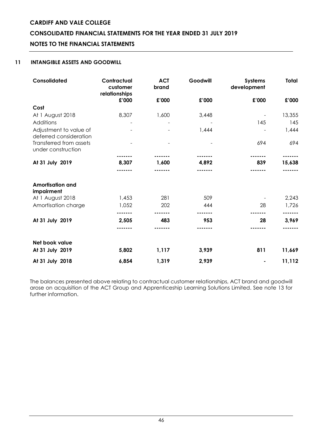# **CONSOLIDATED FINANCIAL STATEMENTS FOR THE YEAR ENDED 31 JULY 2019**

# **NOTES TO THE FINANCIAL STATEMENTS**

# **11 INTANGIBLE ASSETS AND GOODWILL**

| Consolidated                                     | Contractual<br>customer<br>relationships | <b>ACT</b><br>brand | Goodwill | <b>Systems</b><br>development | <b>Total</b> |
|--------------------------------------------------|------------------------------------------|---------------------|----------|-------------------------------|--------------|
|                                                  | £'000                                    | £'000               | £'000    | £'000                         | £'000        |
| Cost                                             |                                          |                     |          |                               |              |
| At 1 August 2018                                 | 8,307                                    | 1,600               | 3,448    |                               | 13,355       |
| Additions                                        |                                          |                     |          | 145                           | 145          |
| Adjustment to value of<br>deferred consideration |                                          |                     | 1,444    |                               | 1,444        |
| Transferred from assets<br>under construction    |                                          |                     |          | 694                           | 694          |
|                                                  |                                          |                     |          |                               |              |
| At 31 July 2019                                  | 8,307                                    | 1,600               | 4,892    | 839                           | 15,638       |
|                                                  |                                          |                     |          |                               |              |
| <b>Amortisation and</b><br>impairment            |                                          |                     |          |                               |              |
| At 1 August 2018                                 | 1,453                                    | 281                 | 509      |                               | 2,243        |
| Amortisation charge                              | 1,052                                    | 202                 | 444      | 28                            | 1,726        |
|                                                  |                                          |                     |          |                               |              |
| At 31 July 2019                                  | 2,505                                    | 483                 | 953      | 28                            | 3,969        |
|                                                  |                                          |                     |          |                               |              |
| Net book value                                   |                                          |                     |          |                               |              |
| At 31 July 2019                                  | 5,802                                    | 1,117               | 3,939    | 811                           | 11,669       |
| At 31 July 2018                                  | 6,854                                    | 1,319               | 2,939    |                               | 11,112       |

The balances presented above relating to contractual customer relationships, ACT brand and goodwill arose on acquisition of the ACT Group and Apprenticeship Learning Solutions Limited. See note 13 for further information.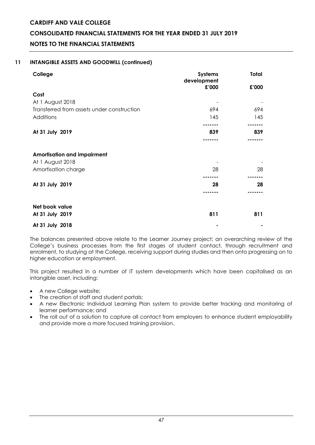# **CONSOLIDATED FINANCIAL STATEMENTS FOR THE YEAR ENDED 31 JULY 2019**

**NOTES TO THE FINANCIAL STATEMENTS** 

# **11 INTANGIBLE ASSETS AND GOODWILL (continued)**

| College                                    | <b>Systems</b><br>development | Total |
|--------------------------------------------|-------------------------------|-------|
|                                            | £'000                         | £'000 |
| Cost                                       |                               |       |
| At 1 August 2018                           |                               |       |
| Transferred from assets under construction | 694                           | 694   |
| Additions                                  | 145                           | 145   |
|                                            |                               |       |
| At 31 July 2019                            | 839                           | 839   |
|                                            |                               |       |
| <b>Amortisation and impairment</b>         |                               |       |
| At 1 August 2018                           |                               |       |
| Amortisation charge                        | 28                            | 28    |
|                                            |                               |       |
| At 31 July 2019                            | 28                            | 28    |
|                                            |                               |       |
| Net book value                             |                               |       |
| At 31 July 2019                            | 811                           | 811   |
| At 31 July 2018                            |                               |       |

The balances presented above relate to the Learner Journey project; an overarching review of the College's business processes from the first stages of student contact, through recruitment and enrolment, to studying at the College, receiving support during studies and then onto progressing on to higher education or employment.

This project resulted in a number of IT system developments which have been capitalised as an intangible asset, including:

- A new College website;
- The creation of staff and student portals;
- A new Electronic Individual Learning Plan system to provide better tracking and monitoring of learner performance; and
- The roll out of a solution to capture all contact from employers to enhance student employability and provide more a more focused training provision.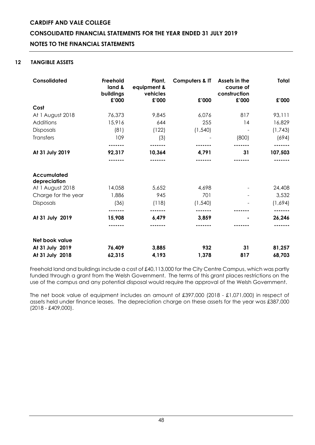# **CARDIFF AND VALE COLLEGE CONSOLIDATED FINANCIAL STATEMENTS FOR THE YEAR ENDED 31 JULY 2019 NOTES TO THE FINANCIAL STATEMENTS**

# **12 TANGIBLE ASSETS**

| Consolidated                | Freehold<br>land &<br>buildings | Plant,<br>equipment &<br>vehicles | Computers & IT | Assets in the<br>course of<br>construction | Total   |
|-----------------------------|---------------------------------|-----------------------------------|----------------|--------------------------------------------|---------|
|                             | £'000                           | £'000                             | £'000          | £'000                                      | £'000   |
| Cost                        |                                 |                                   |                |                                            |         |
| At 1 August 2018            | 76,373                          | 9,845                             | 6,076          | 817                                        | 93,111  |
| Additions                   | 15,916                          | 644                               | 255            | 14                                         | 16,829  |
| Disposals                   | (81)                            | (122)                             | (1, 540)       |                                            | (1,743) |
| <b>Transfers</b>            | 109                             | (3)                               |                | (800)                                      | (694)   |
|                             | -----                           | -------                           |                |                                            |         |
| At 31 July 2019             | 92,317                          | 10,364                            | 4,791          | 31                                         | 107,503 |
|                             |                                 |                                   |                |                                            |         |
| Accumulated<br>depreciation |                                 |                                   |                |                                            |         |
| At 1 August 2018            | 14,058                          | 5,652                             | 4,698          |                                            | 24,408  |
| Charge for the year         | 1,886                           | 945                               | 701            |                                            | 3,532   |
| Disposals                   | (36)                            | (118)                             | (1, 540)       |                                            | (1,694) |
|                             |                                 |                                   |                |                                            |         |
| At 31 July 2019             | 15,908                          | 6,479                             | 3,859          |                                            | 26,246  |
|                             |                                 |                                   |                |                                            |         |
| Net book value              |                                 |                                   |                |                                            |         |
| At 31 July 2019             | 76,409                          | 3,885                             | 932            | 31                                         | 81,257  |
| At 31 July 2018             | 62,315                          | 4,193                             | 1,378          | 817                                        | 68,703  |

Freehold land and buildings include a cost of £40,113,000 for the City Centre Campus, which was partly funded through a grant from the Welsh Government. The terms of this grant places restrictions on the use of the campus and any potential disposal would require the approval of the Welsh Government.

The net book value of equipment includes an amount of £397,000 (2018 - £1,071,000) in respect of assets held under finance leases. The depreciation charge on these assets for the year was £387,000 (2018 - £409,000).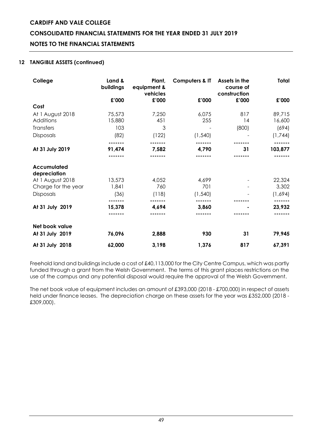# **CONSOLIDATED FINANCIAL STATEMENTS FOR THE YEAR ENDED 31 JULY 2019**

# **NOTES TO THE FINANCIAL STATEMENTS**

# **12 TANGIBLE ASSETS (continued)**

| College                     | Land &<br>buildings | Plant,<br>equipment &<br>vehicles | <b>Computers &amp; IT</b> | Assets in the<br>course of<br>construction | Total   |
|-----------------------------|---------------------|-----------------------------------|---------------------------|--------------------------------------------|---------|
|                             | £'000               | £'000                             | £'000                     | £'000                                      | £'000   |
| Cost                        |                     |                                   |                           |                                            |         |
| At 1 August 2018            | 75,573              | 7,250                             | 6,075                     | 817                                        | 89,715  |
| Additions                   | 15,880              | 451                               | 255                       | 14                                         | 16,600  |
| <b>Transfers</b>            | 103                 | 3                                 |                           | (800)                                      | (694)   |
| Disposals                   | (82)                | (122)                             | (1, 540)                  |                                            | (1,744) |
|                             |                     |                                   |                           |                                            |         |
| At 31 July 2019             | 91,474              | 7,582                             | 4,790                     | 31                                         | 103,877 |
|                             |                     |                                   |                           |                                            |         |
| Accumulated<br>depreciation |                     |                                   |                           |                                            |         |
| At 1 August 2018            | 13,573              | 4,052                             | 4,699                     |                                            | 22,324  |
| Charge for the year         | 1,841               | 760                               | 701                       |                                            | 3,302   |
| <b>Disposals</b>            | (36)                | (118)                             | (1, 540)                  |                                            | (1,694) |
|                             |                     |                                   |                           |                                            |         |
| At 31 July 2019             | 15,378              | 4,694                             | 3,860                     |                                            | 23,932  |
|                             |                     |                                   |                           |                                            |         |
| Net book value              |                     |                                   |                           |                                            |         |
| At 31 July 2019             | 76,096              | 2,888                             | 930                       | 31                                         | 79,945  |
| At 31 July 2018             | 62,000              | 3,198                             | 1,376                     | 817                                        | 67,391  |

Freehold land and buildings include a cost of £40,113,000 for the City Centre Campus, which was partly funded through a grant from the Welsh Government. The terms of this grant places restrictions on the use of the campus and any potential disposal would require the approval of the Welsh Government.

The net book value of equipment includes an amount of £393,000 (2018 - £700,000) in respect of assets held under finance leases. The depreciation charge on these assets for the year was £352,000 (2018 - £309,000).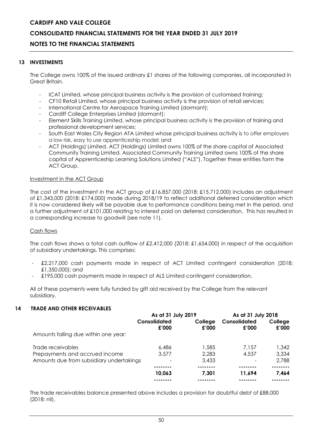# **CONSOLIDATED FINANCIAL STATEMENTS FOR THE YEAR ENDED 31 JULY 2019**

# **NOTES TO THE FINANCIAL STATEMENTS**

#### **13 INVESTMENTS**

The College owns 100% of the issued ordinary £1 shares of the following companies, all incorporated in Great Britain.

- ICAT Limited, whose principal business activity is the provision of customised training;
- CF10 Retail Limited, whose principal business activity is the provision of retail services;
- International Centre for Aerospace Training Limited (dormant);
- Cardiff College Enterprises Limited (dormant);
- Element Skills Training Limited, whose principal business activity is the provision of training and professional development services;
- South East Wales City Region ATA Limited whose principal business activity is to offer employers a low risk, easy to use apprenticeship model; and
- ACT (Holdings) Limited. ACT (Holdings) Limited owns 100% of the share capital of Associated Community Training Limited. Associated Community Training Limited owns 100% of the share capital of Apprenticeship Learning Solutions Limited ("ALS"). Together these entities form the ACT Group.

#### Investment in the ACT Group

The cost of the investment in the ACT group of £16,857,000 (2018: £15,712,000) includes an adjustment of £1,343,000 (2018: £174,000) made during 2018/19 to reflect additional deferred consideration which it is now considered likely will be payable due to performance conditions being met in the period, and a further adjustment of £101,000 relating to interest paid on deferred consideration. This has resulted in a corresponding increase to goodwill (see note 11).

# Cash flows

The cash flows shows a total cash outflow of £2,412,000 (2018: £1,654,000) in respect of the acquisition of subsidiary undertakings. This comprises:

- £2,217,000 cash payments made in respect of ACT Limited contingent consideration (2018: £1,350,000); and
- £195,000 cash payments made in respect of ALS Limited contingent consideration.

All of these payments were fully funded by gift aid received by the College from the relevant subsidiary.

#### **14 TRADE AND OTHER RECEIVABLES**

|                                          | As at 31 July 2019    |                  | As at 31 July 2018    |                  |
|------------------------------------------|-----------------------|------------------|-----------------------|------------------|
|                                          | Consolidated<br>£'000 | College<br>£'000 | Consolidated<br>£'000 | College<br>£'000 |
| Amounts falling due within one year:     |                       |                  |                       |                  |
| Trade receivables                        | 6.486                 | 1,585            | 7.157                 | 1,342            |
| Prepayments and accrued income           | 3.577                 | 2,283            | 4,537                 | 3,334            |
| Amounts due from subsidiary undertakings | $\qquad \qquad$       | 3.433            |                       | 2,788            |
|                                          |                       |                  |                       |                  |
|                                          | 10,063                | 7.301            | 11.694                | 7,464            |
|                                          |                       |                  |                       |                  |

The trade receivables balance presented above includes a provision for doubtful debt of £88,000 (2018: nil).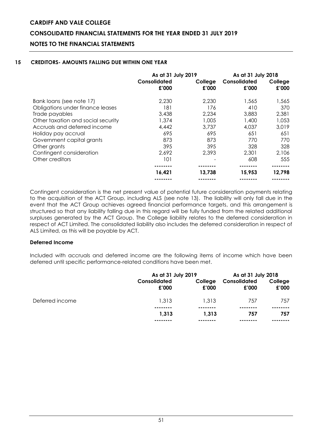# **CONSOLIDATED FINANCIAL STATEMENTS FOR THE YEAR ENDED 31 JULY 2019**

# **NOTES TO THE FINANCIAL STATEMENTS**

# **15 CREDITORS- AMOUNTS FALLING DUE WITHIN ONE YEAR**

|                                    | As at 31 July 2019    |                  | As at 31 July 2018    |                  |
|------------------------------------|-----------------------|------------------|-----------------------|------------------|
|                                    | Consolidated<br>£'000 | College<br>£'000 | Consolidated<br>£'000 | College<br>£'000 |
| Bank loans (see note 17)           | 2,230                 | 2,230            | 1,565                 | 1,565            |
| Obligations under finance leases   | 181                   | 176              | 410                   | 370              |
| Trade payables                     | 3,438                 | 2,234            | 3,883                 | 2,381            |
| Other taxation and social security | 1,374                 | 1,005            | 1,400                 | 1,053            |
| Accruals and deferred income       | 4,442                 | 3,737            | 4,037                 | 3,019            |
| Holiday pay accrual                | 695                   | 695              | 651                   | 651              |
| Government capital grants          | 873                   | 873              | 770                   | 770              |
| Other grants                       | 395                   | 395              | 328                   | 328              |
| Contingent consideration           | 2,692                 | 2,393            | 2,301                 | 2,106            |
| Other creditors                    | 101                   |                  | 608                   | 555              |
|                                    |                       |                  |                       |                  |
|                                    | 16,421                | 13,738           | 15,953                | 12,798           |
|                                    |                       |                  |                       |                  |

Contingent consideration is the net present value of potential future consideration payments relating to the acquisition of the ACT Group, including ALS (see note 13). The liability will only fall due in the event that the ACT Group achieves agreed financial performance targets, and this arrangement is structured so that any liability falling due in this regard will be fully funded from the related additional surpluses generated by the ACT Group. The College liability relates to the deferred consideration in respect of ACT Limited. The consolidated liability also includes the deferred consideration in respect of ALS Limited, as this will be payable by ACT.

# **Deferred Income**

Included with accruals and deferred income are the following items of income which have been deferred until specific performance-related conditions have been met.

|                 | As at 31 July 2019    |                  | As at 31 July 2018    |                  |
|-----------------|-----------------------|------------------|-----------------------|------------------|
|                 | Consolidated<br>£'000 | College<br>£'000 | Consolidated<br>£'000 | College<br>£'000 |
| Deferred income | 1.313                 | 1.313            | 757                   | 757              |
|                 | --------<br>1,313     | ------<br>1.313  | 757                   | 757              |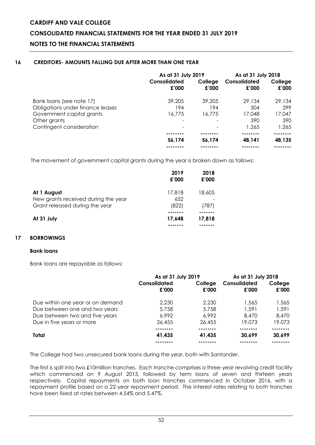# **CONSOLIDATED FINANCIAL STATEMENTS FOR THE YEAR ENDED 31 JULY 2019**

# **NOTES TO THE FINANCIAL STATEMENTS**

# **16 CREDITORS- AMOUNTS FALLING DUE AFTER MORE THAN ONE YEAR**

|                                  | As at 31 July 2019    |                  | As at 31 July 2018    |                  |
|----------------------------------|-----------------------|------------------|-----------------------|------------------|
|                                  | Consolidated<br>£'000 | College<br>£'000 | Consolidated<br>£'000 | College<br>£'000 |
| Bank loans (see note 17)         | 39.205                | 39.205           | 29,134                | 29,134           |
| Obligations under finance leases | 194                   | 194              | 304                   | 299              |
| Government capital grants        | 16,775                | 16,775           | 17,048                | 17,047           |
| Other grants                     |                       |                  | 390                   | 390              |
| Contingent consideration         |                       |                  | 1,265                 | 1,265            |
|                                  |                       |                  |                       |                  |
|                                  | 56,174                | 56,174           | 48,141                | 48,135           |
|                                  |                       |                  |                       |                  |

The movement of government capital grants during the year is broken down as follows:

|                                                                                      | 2019<br>£'000          | 2018<br>£'000   |
|--------------------------------------------------------------------------------------|------------------------|-----------------|
| At 1 August<br>New grants received during the year<br>Grant released during the year | 17,818<br>652<br>(822) | 18,605<br>(787) |
| At 31 July                                                                           | 17,648                 | 17,818          |

# **17 BORROWINGS**

# **Bank loans**

Bank loans are repayable as follows:

|                                  | As at 31 July 2019    |                  | As at 31 July 2018    |                  |
|----------------------------------|-----------------------|------------------|-----------------------|------------------|
|                                  | Consolidated<br>£'000 | College<br>£'000 | Consolidated<br>£'000 | College<br>£'000 |
| Due within one year or on demand | 2,230                 | 2.230            | 1,565                 | 1,565            |
| Due between one and two years    | 5,758                 | 5.758            | 1.591                 | 1,591            |
| Due between two and five years   | 6.992                 | 6.992            | 8.470                 | 8,470            |
| Due in five years or more        | 26,455                | 26,455           | 19.073                | 19,073           |
|                                  | .                     |                  |                       | .                |
| Total                            | 41,435                | 41,435           | 30,699                | 30,699           |
|                                  |                       |                  |                       |                  |

The College had two unsecured bank loans during the year, both with Santander.

The first is split into two £10million tranches. Each tranche comprises a three-year revolving credit facility which commenced on 9 August 2013, followed by term loans of seven and thirteen years respectively. Capital repayments on both loan tranches commenced in October 2016, with a repayment profile based on a 22-year repayment period. The interest rates relating to both tranches have been fixed at rates between 4.54% and 5.47%.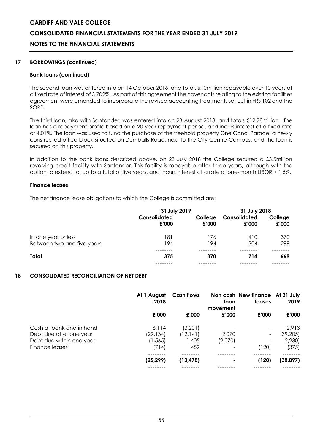# **CONSOLIDATED FINANCIAL STATEMENTS FOR THE YEAR ENDED 31 JULY 2019**

# **NOTES TO THE FINANCIAL STATEMENTS**

#### **17 BORROWINGS (continued)**

#### **Bank loans (continued)**

The second loan was entered into on 14 October 2016, and totals £10million repayable over 10 years at a fixed rate of interest of 3.702%. As part of this agreement the covenants relating to the existing facilities agreement were amended to incorporate the revised accounting treatments set out in FRS 102 and the SORP.

The third loan, also with Santander, was entered into on 23 August 2018, and totals £12.78million. The loan has a repayment profile based on a 20-year repayment period, and incurs interest at a fixed rate of 4.01%. The loan was used to fund the purchase of the freehold property One Canal Parade, a newly constructed office block situated on Dumballs Road, next to the City Centre Campus, and the loan is secured on this property.

In addition to the bank loans described above, on 23 July 2018 the College secured a £3.5million revolving credit facility with Santander. This facility is repayable after three years, although with the option to extend for up to a total of five years, and incurs interest at a rate of one-month LIBOR + 1.5%.

#### **Finance leases**

The net finance lease obligations to which the College is committed are:

|                            | 31 July 2019          |                  | 31 July 2018          |                  |  |
|----------------------------|-----------------------|------------------|-----------------------|------------------|--|
|                            | Consolidated<br>£'000 | College<br>£'000 | Consolidated<br>£'000 | College<br>£'000 |  |
| In one year or less        | 181                   | 176              | 410                   | 370              |  |
| Between two and five years | 194                   | 194              | 304                   | 299              |  |
|                            |                       |                  |                       |                  |  |
| Total                      | 375                   | 370              | 714                   | 669              |  |
|                            |                       |                  |                       |                  |  |

#### **18 CONSOLIDATED RECONCILIATION OF NET DEBT**

|                          | At 1 August<br>2018 | <b>Cash flows</b> | loan<br>movement | Non cash New finance At 31 July<br>leases | 2019      |
|--------------------------|---------------------|-------------------|------------------|-------------------------------------------|-----------|
|                          | £'000               | £'000             | £'000            | £'000                                     | £'000     |
| Cash at bank and in hand | 6.114               | (3,201)           |                  |                                           | 2,913     |
| Debt due after one year  | (29, 134)           | (12, 141)         | 2,070            | Ξ.                                        | (39, 205) |
| Debt due within one year | (1, 565)            | 1,405             | (2,070)          | -                                         | (2,230)   |
| Finance leases           | (714)               | 459               |                  | (120)                                     | (375)     |
|                          | (25, 299)           | (13, 478)         | ٠                | (120)                                     | (38, 897) |
|                          |                     |                   |                  |                                           |           |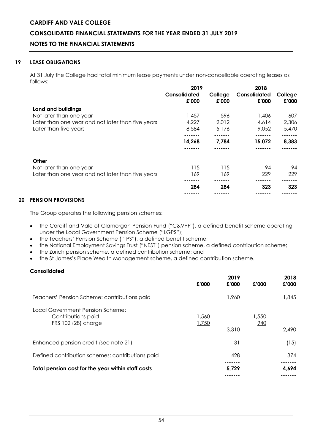# **CONSOLIDATED FINANCIAL STATEMENTS FOR THE YEAR ENDED 31 JULY 2019**

# **NOTES TO THE FINANCIAL STATEMENTS**

# **19 LEASE OBLIGATIONS**

At 31 July the College had total minimum lease payments under non-cancellable operating leases as follows:

|                                                   |                       | 2019             |                       |                  |  |
|---------------------------------------------------|-----------------------|------------------|-----------------------|------------------|--|
|                                                   | Consolidated<br>£'000 | College<br>£'000 | Consolidated<br>£'000 | College<br>£'000 |  |
| Land and buildings                                |                       |                  |                       |                  |  |
| Not later than one year                           | 1,457                 | 596              | 1,406                 | 607              |  |
| Later than one year and not later than five years | 4,227                 | 2,012            | 4,614                 | 2,306            |  |
| Later than five years                             | 8,584                 | 5,176            | 9,052                 | 5,470            |  |
|                                                   |                       |                  |                       |                  |  |
|                                                   | 14,268                | 7,784            | 15,072                | 8,383            |  |
|                                                   |                       |                  |                       |                  |  |
| Other                                             |                       |                  |                       |                  |  |
| Not later than one year                           | 115                   | 115              | 94                    | 94               |  |
| Later than one year and not later than five years | 169                   | 169              | 229                   | 229              |  |
|                                                   |                       |                  |                       |                  |  |
|                                                   | 284                   | 284              | 323                   | 323              |  |
|                                                   |                       |                  |                       |                  |  |

# **20 PENSION PROVISIONS**

The Group operates the following pension schemes:

- the Cardiff and Vale of Glamorgan Pension Fund ("C&VPF"), a defined benefit scheme operating under the Local Government Pension Scheme ("LGPS");
- the Teachers' Pension Scheme ("TPS"), a defined benefit scheme;
- the National Employment Savings Trust ("NEST") pension scheme, a defined contribution scheme;
- the Zurich pension scheme, a defined contribution scheme; and
- the St James's Place Wealth Management scheme, a defined contribution scheme.

# **Consolidated**

|                                                                               | £'000          | 2019<br>£'000 | £'000        | 2018<br>£'000 |
|-------------------------------------------------------------------------------|----------------|---------------|--------------|---------------|
| Teachers' Pension Scheme: contributions paid                                  |                | 1,960         |              | 1,845         |
| Local Government Pension Scheme:<br>Contributions paid<br>FRS 102 (28) charge | 1,560<br>1,750 | 3,310         | 1,550<br>940 | 2,490         |
| Enhanced pension credit (see note 21)                                         |                | 31            |              | (15)          |
| Defined contribution schemes: contributions paid                              |                | 428           |              | 374           |
| Total pension cost for the year within staff costs                            |                | 5.729         |              | 4,694         |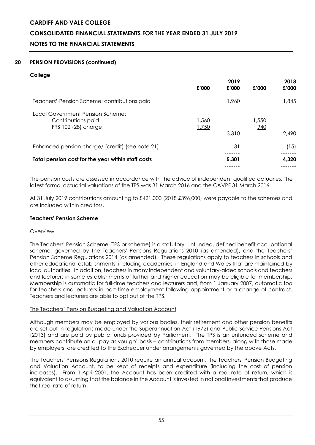# **CONSOLIDATED FINANCIAL STATEMENTS FOR THE YEAR ENDED 31 JULY 2019**

# **NOTES TO THE FINANCIAL STATEMENTS**

# **20 PENSION PROVISIONS (continued)**

# **College**

|                                                                               | £'000          | 2019<br>£'000 | £'000        | 2018<br>£'000 |
|-------------------------------------------------------------------------------|----------------|---------------|--------------|---------------|
| Teachers' Pension Scheme: contributions paid                                  |                | 1,960         |              | 1,845         |
| Local Government Pension Scheme:<br>Contributions paid<br>FRS 102 (28) charge | 1,560<br>1,750 | 3,310         | 1,550<br>940 | 2.490         |
| Enhanced pension charge/ (credit) (see note 21)                               |                | 31            |              | (15)          |
| Total pension cost for the year within staff costs                            |                | 5,301         |              | 4,320         |

The pension costs are assessed in accordance with the advice of independent qualified actuaries. The latest formal actuarial valuations of the TPS was 31 March 2016 and the C&VPF 31 March 2016.

At 31 July 2019 contributions amounting to £421,000 (2018 £396,000) were payable to the schemes and are included within creditors.

# **Teachers' Pension Scheme**

# **Overview**

The Teachers' Pension Scheme (TPS or scheme) is a statutory, unfunded, defined benefit occupational scheme, governed by the Teachers' Pensions Regulations 2010 (as amended), and the Teachers' Pension Scheme Regulations 2014 (as amended). These regulations apply to teachers in schools and other educational establishments, including academies, in England and Wales that are maintained by local authorities. In addition, teachers in many independent and voluntary-aided schools and teachers and lecturers in some establishments of further and higher education may be eligible for membership. Membership is automatic for full-time teachers and lecturers and, from 1 January 2007, automatic too for teachers and lecturers in part-time employment following appointment or a change of contract. Teachers and lecturers are able to opt out of the TPS.

# The Teachers' Pension Budgeting and Valuation Account

Although members may be employed by various bodies, their retirement and other pension benefits are set out in regulations made under the Superannuation Act (1972) and Public Service Pensions Act (2013) and are paid by public funds provided by Parliament. The TPS is an unfunded scheme and members contribute on a 'pay as you go' basis – contributions from members, along with those made by employers, are credited to the Exchequer under arrangements governed by the above Acts.

The Teachers' Pensions Regulations 2010 require an annual account, the Teachers' Pension Budgeting and Valuation Account, to be kept of receipts and expenditure (including the cost of pension increases). From 1 April 2001, the Account has been credited with a real rate of return, which is equivalent to assuming that the balance in the Account is invested in notional investments that produce that real rate of return.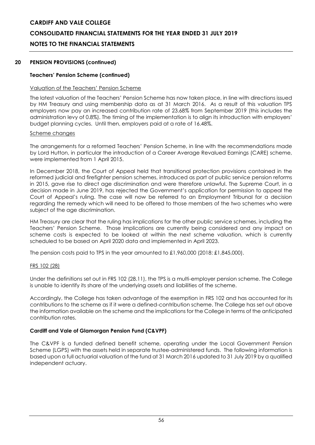# **CONSOLIDATED FINANCIAL STATEMENTS FOR THE YEAR ENDED 31 JULY 2019**

# **NOTES TO THE FINANCIAL STATEMENTS**

#### **20 PENSION PROVISIONS (continued)**

### **Teachers' Pension Scheme (continued)**

#### Valuation of the Teachers' Pension Scheme

The latest valuation of the Teachers' Pension Scheme has now taken place, in line with directions issued by HM Treasury and using membership data as at 31 March 2016. As a result of this valuation TPS employers now pay an increased contribution rate of 23.68% from September 2019 (this includes the administration levy of 0.8%). The timing of the implementation is to align its introduction with employers' budget planning cycles. Until then, employers paid at a rate of 16.48%.

#### Scheme changes

The arrangements for a reformed Teachers' Pension Scheme, in line with the recommendations made by Lord Hutton, in particular the introduction of a Career Average Revalued Earnings (CARE) scheme, were implemented from 1 April 2015.

In December 2018, the Court of Appeal held that transitional protection provisions contained in the reformed judicial and firefighter pension schemes, introduced as part of public service pension reforms in 2015, gave rise to direct age discrimination and were therefore unlawful. The Supreme Court, in a decision made in June 2019, has rejected the Government's application for permission to appeal the Court of Appeal's ruling. The case will now be referred to an Employment Tribunal for a decision regarding the remedy which will need to be offered to those members of the two schemes who were subject of the age discrimination.

HM Treasury are clear that the ruling has implications for the other public service schemes, including the Teachers' Pension Scheme. Those implications are currently being considered and any impact on scheme costs is expected to be looked at within the next scheme valuation, which is currently scheduled to be based on April 2020 data and implemented in April 2023.

The pension costs paid to TPS in the year amounted to £1,960,000 (2018: £1,845,000).

#### FRS 102 (28)

Under the definitions set out in FRS 102 (28.11), the TPS is a multi-employer pension scheme. The College is unable to identify its share of the underlying assets and liabilities of the scheme.

Accordingly, the College has taken advantage of the exemption in FRS 102 and has accounted for its contributions to the scheme as if it were a defined-contribution scheme. The College has set out above the information available on the scheme and the implications for the College in terms of the anticipated contribution rates.

# **Cardiff and Vale of Glamorgan Pension Fund (C&VPF)**

The C&VPF is a funded defined benefit scheme, operating under the Local Government Pension Scheme (LGPS) with the assets held in separate trustee-administered funds. The following information is based upon a full actuarial valuation of the fund at 31 March 2016 updated to 31 July 2019 by a qualified independent actuary.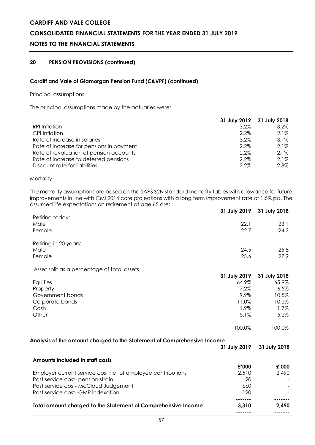# **CONSOLIDATED FINANCIAL STATEMENTS FOR THE YEAR ENDED 31 JULY 2019**

# **NOTES TO THE FINANCIAL STATEMENTS**

# **20 PENSION PROVISIONS (continued)**

#### **Cardiff and Vale of Glamorgan Pension Fund (C&VPF) (continued)**

#### Principal assumptions

The principal assumptions made by the actuaries were:

|                                          |         | 31 July 2019 31 July 2018 |
|------------------------------------------|---------|---------------------------|
| RPI Inflation                            | 3.2%    | $3.2\%$                   |
| CPI Inflation                            | 2.2%    | $2.1\%$                   |
| Rate of increase in salaries             | 3.2%    | $3.1\%$                   |
| Rate of increase for pensions in payment | 2.2%    | $2.1\%$                   |
| Rate of revaluation of pension accounts  | 2.2%    | $2.1\%$                   |
| Rate of increase to deferred pensions    | 2.2%    | $2.1\%$                   |
| Discount rate for liabilities            | $2.2\%$ | 2.8%                      |

#### **Mortality**

The mortality assumptions are based on the SAPS S2N standard mortality tables with allowance for future improvements in line with CMI 2014 core projections with a long term improvement rate of 1.5% pa. The assumed life expectations on retirement at age 65 are:

|                                                                         | 31 July 2019 | 31 July 2018 |
|-------------------------------------------------------------------------|--------------|--------------|
| Retiring today:<br>Male                                                 | 22.1         | 23.1         |
| Female                                                                  | 22.7         | 24.2         |
|                                                                         |              |              |
| Retiring in 20 years:                                                   |              |              |
| Male                                                                    | 24.5         | 25.8         |
| Female                                                                  | 25.6         | 27.2         |
| Asset split as a percentage of total assets                             |              |              |
|                                                                         | 31 July 2019 | 31 July 2018 |
| Equities                                                                | 64.9%        | 65.9%        |
| Property                                                                | 7.2%         | 6.5%         |
| Government bonds                                                        | 9.9%         | 10.5%        |
| Corporate bonds                                                         | 11.0%        | 10.2%        |
| Cash                                                                    | $1.9\%$      | $1.7\%$      |
| Other                                                                   | 5.1%         | 5.2%         |
|                                                                         | 100.0%       | 100.0%       |
| Analysis of the amount charged to the Statement of Comprehensive Income |              |              |
|                                                                         | 31 July 2019 | 31 July 2018 |
| Amounts included in staff costs                                         |              |              |
|                                                                         | £'000        | £'000        |
| Employer current service cost net of employee contributions             | 2,510        | 2,490        |
| Past service cost- pension strain                                       | 20           |              |
| Past service cost- McCloud Judgement                                    | 660          |              |
| Past service cost- GMP indexation                                       | 120          |              |
| Total amount charged to the Statement of Comprehensive Income           | 3,310        | 2,490        |
|                                                                         |              |              |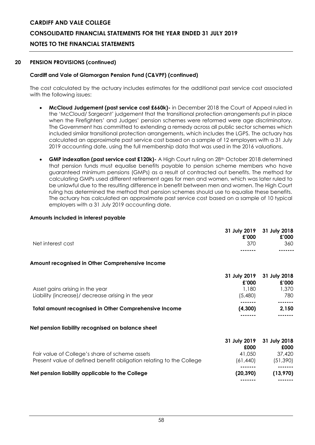# **CONSOLIDATED FINANCIAL STATEMENTS FOR THE YEAR ENDED 31 JULY 2019**

# **NOTES TO THE FINANCIAL STATEMENTS**

#### **20 PENSION PROVISIONS (continued)**

### **Cardiff and Vale of Glamorgan Pension Fund (C&VPF) (continued)**

The cost calculated by the actuary includes estimates for the additional past service cost associated with the following issues:

- **McCloud Judgement (past service cost £660k)-** in December 2018 the Court of Appeal ruled in the 'McCloud/ Sargeant' judgement that the transitional protection arrangements put in place when the Firefighters' and Judges' pension schemes were reformed were age discriminatory. The Government has committed to extending a remedy across all public sector schemes which included similar transitional protection arrangements, which includes the LGPS. The actuary has calculated an approximate past service cost based on a sample of 12 employers with a 31 July 2019 accounting date, using the full membership data that was used in the 2016 valuations.
- **GMP indexation (past service cost £120k)-** A High Court ruling on 28<sup>th</sup> October 2018 determined that pension funds must equalise benefits payable to pension scheme members who have guaranteed minimum pensions (GMPs) as a result of contracted out benefits. The method for calculating GMPs used different retirement ages for men and women, which was later ruled to be unlawful due to the resulting difference in benefit between men and women. The High Court ruling has determined the method that pension schemes should use to equalise these benefits. The actuary has calculated an approximate past service cost based on a sample of 10 typical employers with a 31 July 2019 accounting date.

#### **Amounts included in interest payable**

| Net interest cost                                                                                                     | 31 July 2019<br>£'000<br>370               | 31 July 2018<br>£'000<br>360                |
|-----------------------------------------------------------------------------------------------------------------------|--------------------------------------------|---------------------------------------------|
| Amount recognised in Other Comprehensive Income                                                                       |                                            |                                             |
| Asset gains arising in the year<br>Liability (increase)/ decrease arising in the year                                 | 31 July 2019<br>£'000<br>1,180<br>(5,480)  | 31 July 2018<br>£'000<br>1,370<br>780       |
| <b>Total amount recognised in Other Comprehensive Income</b>                                                          | (4,300)                                    | -------<br>2,150                            |
| Net pension liability recognised on balance sheet                                                                     |                                            |                                             |
| Fair value of College's share of scheme assets<br>Present value of defined benefit obligation relating to the College | 31 July 2019<br>£000<br>41,050<br>(61,440) | 31 July 2018<br>£000<br>37,420<br>(51, 390) |
| Net pension liability applicable to the College                                                                       | (20, 390)                                  | (13,970)                                    |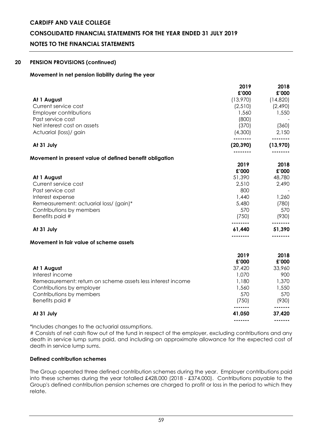# **CONSOLIDATED FINANCIAL STATEMENTS FOR THE YEAR ENDED 31 JULY 2019**

# **NOTES TO THE FINANCIAL STATEMENTS**

#### **20 PENSION PROVISIONS (continued)**

#### **Movement in net pension liability during the year**

|                                                             | 2019<br>£'000    | 2018<br>£'000 |
|-------------------------------------------------------------|------------------|---------------|
| At 1 August                                                 | (13,970)         | (14,820)      |
| Current service cost                                        | (2,510)          | (2,490)       |
| <b>Employer contributions</b>                               | 1,560            | 1,550         |
| Past service cost                                           | (800)            |               |
| Net interest cost on assets                                 | (370)            | (360)         |
| Actuarial (loss)/ gain                                      | (4,300)          | 2,150         |
|                                                             |                  |               |
| At 31 July                                                  | (20, 390)        | (13, 970)     |
|                                                             |                  |               |
| Movement in present value of defined benefit obligation     | 2019             | 2018          |
|                                                             | £'000            | £'000         |
| At 1 August                                                 | 51,390           | 48,780        |
| Current service cost                                        | 2,510            | 2,490         |
| Past service cost                                           | 800              |               |
| Interest expense                                            | 1,440            | 1,260         |
| Remeasurement: actuarial loss/ (gain)*                      | 5,480            | (780)         |
| Contributions by members                                    | 570              | 570           |
| Benefits paid #                                             | (750)            | (930)         |
|                                                             |                  | -------       |
| At 31 July                                                  | 61,440<br>.      | 51,390        |
| Movement in fair value of scheme assets                     |                  |               |
|                                                             |                  |               |
|                                                             | 2019             | 2018          |
|                                                             | £'000            | £'000         |
| At 1 August                                                 | 37,420           | 33,960        |
| Interest income                                             | 1,070            | 900           |
| Remeasurement: return on scheme assets less interest income | 1,180            | 1,370         |
| Contributions by employer                                   | 1,560            | 1,550         |
| Contributions by members                                    | 570              | 570           |
| Benefits paid #                                             | (750)<br>------- | (930)         |
| At 31 July                                                  | 41,050           | 37,420        |
|                                                             | -------          | -------       |

\*Includes changes to the actuarial assumptions.

# Consists of net cash flow out of the fund in respect of the employer, excluding contributions and any death in service lump sums paid, and including an approximate allowance for the expected cost of death in service lump sums.

# **Defined contribution schemes**

The Group operated three defined contribution schemes during the year. Employer contributions paid into these schemes during the year totalled £428,000 (2018 - £374,000). Contributions payable to the Group's defined contribution pension schemes are charged to profit or loss in the period to which they relate.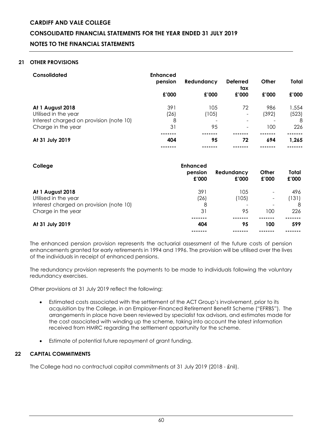# **CONSOLIDATED FINANCIAL STATEMENTS FOR THE YEAR ENDED 31 JULY 2019**

# **NOTES TO THE FINANCIAL STATEMENTS**

### **21 OTHER PROVISIONS**

| Consolidated                            | <b>Enhanced</b><br>pension | Redundancy | <b>Deferred</b><br>tax   | Other | Total |
|-----------------------------------------|----------------------------|------------|--------------------------|-------|-------|
|                                         | £'000                      | £'000      | £'000                    | £'000 | £'000 |
| At 1 August 2018                        | 391                        | 105        | 72                       | 986   | 1,554 |
| Utilised in the year                    | (26)                       | (105)      | $\overline{\phantom{a}}$ | (392) | (523) |
| Interest charged on provision (note 10) | 8                          |            |                          |       | 8     |
| Charge in the year                      | 31                         | 95         | $\overline{\phantom{a}}$ | 100   | 226   |
|                                         |                            |            |                          |       |       |
| At 31 July 2019                         | 404                        | 95         | 72                       | 694   | 1,265 |
|                                         |                            |            |                          |       |       |

| College                                                                                                   | <b>Enhanced</b><br>pension<br>£'000 | Redundancy<br>£'000     | Other<br>£'000                                                       | Total<br>£'000           |
|-----------------------------------------------------------------------------------------------------------|-------------------------------------|-------------------------|----------------------------------------------------------------------|--------------------------|
| At 1 August 2018<br>Utilised in the year<br>Interest charged on provision (note 10)<br>Charge in the year | 391<br>(26)<br>8<br>31              | 105<br>(105)<br>-<br>95 | $\overline{\phantom{a}}$<br>$\qquad \qquad \blacksquare$<br>-<br>100 | 496<br>(131)<br>8<br>226 |
| At 31 July 2019                                                                                           | 404                                 | 95                      | 100                                                                  | 599                      |

The enhanced pension provision represents the actuarial assessment of the future costs of pension enhancements granted for early retirements in 1994 and 1996. The provision will be utilised over the lives of the individuals in receipt of enhanced pensions.

The redundancy provision represents the payments to be made to individuals following the voluntary redundancy exercises.

Other provisions at 31 July 2019 reflect the following:

- Estimated costs associated with the settlement of the ACT Group's involvement, prior to its acquisition by the College, in an Employer-Financed Retirement Benefit Scheme ("EFRBS"). The arrangements in place have been reviewed by specialist tax advisors, and estimates made for the cost associated with winding up the scheme, taking into account the latest information received from HMRC regarding the settlement opportunity for the scheme.
- Estimate of potential future repayment of grant funding.

# **22 CAPITAL COMMITMENTS**

The College had no contractual capital commitments at 31 July 2019 (2018 - £nil).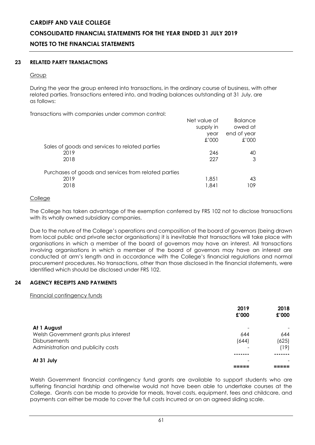# **CONSOLIDATED FINANCIAL STATEMENTS FOR THE YEAR ENDED 31 JULY 2019**

# **NOTES TO THE FINANCIAL STATEMENTS**

# **23 RELATED PARTY TRANSACTIONS**

#### **Group**

During the year the group entered into transactions, in the ordinary course of business, with other related parties. Transactions entered into, and trading balances outstanding at 31 July, are as follows:

Transactions with companies under common control:

| aonono mini oompanios ontaoi oommon oommon           |                           |                           |
|------------------------------------------------------|---------------------------|---------------------------|
|                                                      | Net value of<br>supply in | <b>Balance</b><br>owed at |
|                                                      | year                      | end of year               |
|                                                      | £'000                     | 000'                      |
| Sales of goods and services to related parties       |                           |                           |
| 2019                                                 | 246                       | 40                        |
| 2018                                                 | 227                       | 3                         |
| Purchases of goods and services from related parties |                           |                           |
| 2019                                                 | 1,851                     | 43                        |
| 2018                                                 | 1.841                     | 109                       |
|                                                      |                           |                           |

# **College**

The College has taken advantage of the exemption conferred by FRS 102 not to disclose transactions with its wholly owned subsidiary companies.

Due to the nature of the College's operations and composition of the board of governors (being drawn from local public and private sector organisations) it is inevitable that transactions will take place with organisations in which a member of the board of governors may have an interest. All transactions involving organisations in which a member of the board of governors may have an interest are conducted at arm's length and in accordance with the College's financial regulations and normal procurement procedures. No transactions, other than those disclosed in the financial statements, were identified which should be disclosed under FRS 102.

# **24 AGENCY RECEIPTS AND PAYMENTS**

Financial contingency funds

|                                       | 2019<br>£'000 | 2018<br>£'000 |
|---------------------------------------|---------------|---------------|
| At 1 August                           |               |               |
| Welsh Government grants plus interest | 644           | 644           |
| <b>Disbursements</b>                  | (644)         | (625)         |
| Administration and publicity costs    |               | 19)           |
|                                       |               |               |
| At 31 July                            |               |               |
|                                       |               |               |

Welsh Government financial contingency fund grants are available to support students who are suffering financial hardship and otherwise would not have been able to undertake courses at the College. Grants can be made to provide for meals, travel costs, equipment, fees and childcare, and payments can either be made to cover the full costs incurred or on an agreed sliding scale.